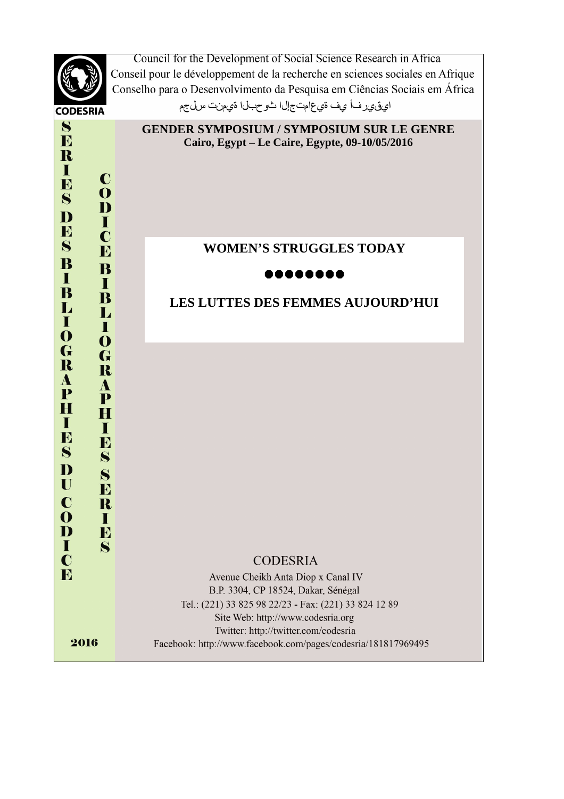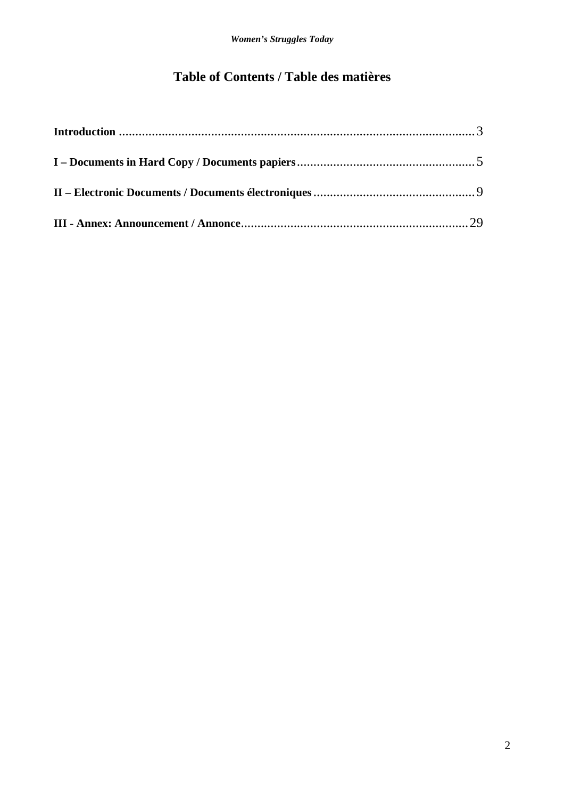## **Table of Contents / Table des matières**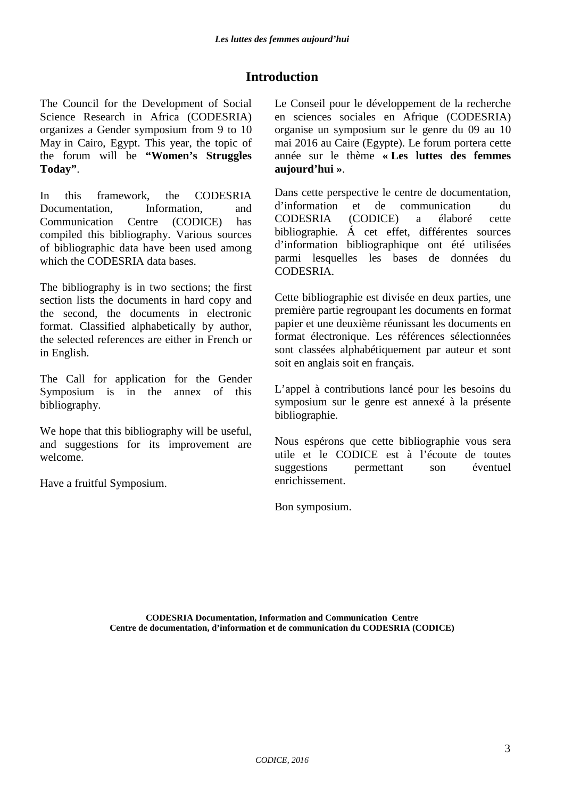## **Introduction**

The Council for the Development of Social Science Research in Africa (CODESRIA) organizes a Gender symposium from 9 to 10 May in Cairo, Egypt. This year, the topic of the forum will be **"Women's Struggles Today"**.

In this framework, the CODESRIA Documentation Information and Communication Centre (CODICE) has compiled this bibliography. Various sources of bibliographic data have been used among which the CODESRIA data bases.

The bibliography is in two sections; the first section lists the documents in hard copy and the second, the documents in electronic format. Classified alphabetically by author, the selected references are either in French or in English.

The Call for application for the Gender Symposium is in the annex of this bibliography.

We hope that this bibliography will be useful. and suggestions for its improvement are welcome.

Have a fruitful Symposium.

Le Conseil pour le développement de la recherche en sciences sociales en Afrique (CODESRIA) organise un symposium sur le genre du 09 au 10 mai 2016 au Caire (Egypte). Le forum portera cette année sur le thème **« Les luttes des femmes aujourd'hui »**.

Dans cette perspective le centre de documentation, d'information et de communication du CODESRIA (CODICE) a élaboré cette bibliographie. Á cet effet, différentes sources d'information bibliographique ont été utilisées parmi lesquelles les bases de données du CODESRIA.

Cette bibliographie est divisée en deux parties, une première partie regroupant les documents en format papier et une deuxième réunissant les documents en format électronique. Les références sélectionnées sont classées alphabétiquement par auteur et sont soit en anglais soit en français.

L'appel à contributions lancé pour les besoins du symposium sur le genre est annexé à la présente bibliographie.

Nous espérons que cette bibliographie vous sera utile et le CODICE est à l'écoute de toutes suggestions permettant son éventuel enrichissement.

Bon symposium.

**CODESRIA Documentation, Information and Communication Centre Centre de documentation, d'information et de communication du CODESRIA (CODICE)**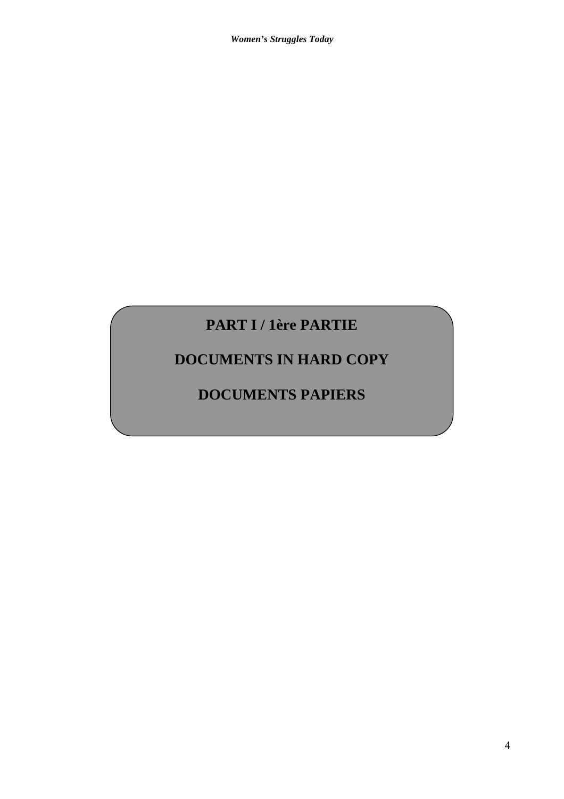# **PART I / 1ère PARTIE**

## **DOCUMENTS IN HARD COPY**

# **DOCUMENTS PAPIERS**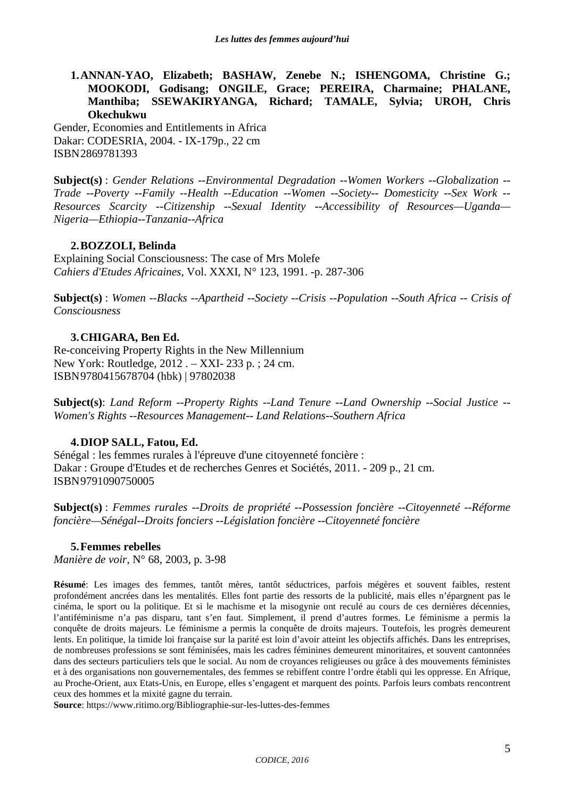**1.ANNAN-YAO, Elizabeth; BASHAW, Zenebe N.; ISHENGOMA, Christine G.; MOOKODI, Godisang; ONGILE, Grace; PEREIRA, Charmaine; PHALANE, Manthiba; SSEWAKIRYANGA, Richard; TAMALE, Sylvia; UROH, Chris Okechukwu** 

Gender, Economies and Entitlements in Africa Dakar: CODESRIA, 2004. - IX-179p., 22 cm ISBN 2869781393

**Subject(s)** : *Gender Relations --Environmental Degradation --Women Workers --Globalization -- Trade --Poverty --Family --Health --Education --Women --Society-- Domesticity --Sex Work -- Resources Scarcity --Citizenship --Sexual Identity --Accessibility of Resources—Uganda— Nigeria—Ethiopia--Tanzania--Africa* 

## **2.BOZZOLI, Belinda**

Explaining Social Consciousness: The case of Mrs Molefe *Cahiers d'Etudes Africaines*, Vol. XXXI, N° 123, 1991. -p. 287-306

**Subject(s)** : *Women --Blacks --Apartheid --Society --Crisis --Population --South Africa -- Crisis of Consciousness*

## **3.CHIGARA, Ben Ed.**

Re-conceiving Property Rights in the New Millennium New York: Routledge, 2012 . – XXI- 233 p. ; 24 cm. ISBN 9780415678704 (hbk) | 97802038

**Subject(s)**: *Land Reform --Property Rights --Land Tenure --Land Ownership --Social Justice -- Women's Rights --Resources Management-- Land Relations--Southern Africa*

## **4.DIOP SALL, Fatou, Ed.**

Sénégal : les femmes rurales à l'épreuve d'une citoyenneté foncière : Dakar : Groupe d'Etudes et de recherches Genres et Sociétés, 2011. - 209 p., 21 cm. ISBN 9791090750005

**Subject(s)** : *Femmes rurales --Droits de propriété --Possession foncière --Citoyenneté --Réforme foncière—Sénégal--Droits fonciers --Législation foncière --Citoyenneté foncière* 

## **5.Femmes rebelles**

*Manière de voir*, N° 68, 2003, p. 3-98

**Résumé**: Les images des femmes, tantôt mères, tantôt séductrices, parfois mégères et souvent faibles, restent profondément ancrées dans les mentalités. Elles font partie des ressorts de la publicité, mais elles n'épargnent pas le cinéma, le sport ou la politique. Et si le machisme et la misogynie ont reculé au cours de ces dernières décennies, l'antiféminisme n'a pas disparu, tant s'en faut. Simplement, il prend d'autres formes. Le féminisme a permis la conquête de droits majeurs. Le féminisme a permis la conquête de droits majeurs. Toutefois, les progrès demeurent lents. En politique, la timide loi française sur la parité est loin d'avoir atteint les objectifs affichés. Dans les entreprises, de nombreuses professions se sont féminisées, mais les cadres féminines demeurent minoritaires, et souvent cantonnées dans des secteurs particuliers tels que le social. Au nom de croyances religieuses ou grâce à des mouvements féministes et à des organisations non gouvernementales, des femmes se rebiffent contre l'ordre établi qui les oppresse. En Afrique, au Proche-Orient, aux Etats-Unis, en Europe, elles s'engagent et marquent des points. Parfois leurs combats rencontrent ceux des hommes et la mixité gagne du terrain.

**Source**: https://www.ritimo.org/Bibliographie-sur-les-luttes-des-femmes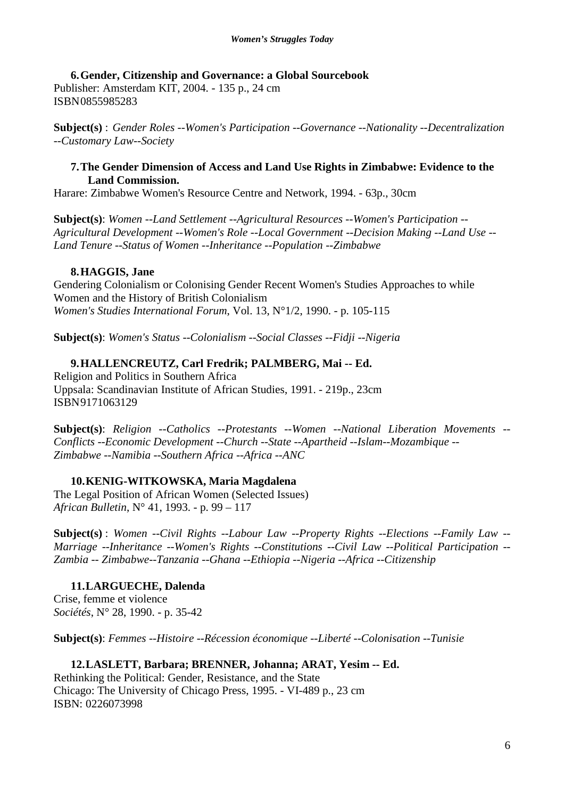**6.Gender, Citizenship and Governance: a Global Sourcebook**  Publisher: Amsterdam KIT, 2004. - 135 p., 24 cm ISBN 0855985283

**Subject(s)** : *Gender Roles --Women's Participation --Governance --Nationality --Decentralization --Customary Law--Society* 

## **7.The Gender Dimension of Access and Land Use Rights in Zimbabwe: Evidence to the Land Commission.**

Harare: Zimbabwe Women's Resource Centre and Network, 1994. - 63p., 30cm

**Subject(s)**: *Women --Land Settlement --Agricultural Resources --Women's Participation -- Agricultural Development --Women's Role --Local Government --Decision Making --Land Use -- Land Tenure --Status of Women --Inheritance --Population --Zimbabwe* 

## **8.HAGGIS, Jane**

Gendering Colonialism or Colonising Gender Recent Women's Studies Approaches to while Women and the History of British Colonialism *Women's Studies International Forum*, Vol. 13, N°1/2, 1990. - p. 105-115

**Subject(s)**: *Women's Status --Colonialism --Social Classes --Fidji --Nigeria* 

**9.HALLENCREUTZ, Carl Fredrik; PALMBERG, Mai -- Ed.**  Religion and Politics in Southern Africa Uppsala: Scandinavian Institute of African Studies, 1991. - 219p., 23cm ISBN 9171063129

**Subject(s)**: *Religion --Catholics --Protestants --Women --National Liberation Movements -- Conflicts --Economic Development --Church --State --Apartheid --Islam--Mozambique -- Zimbabwe --Namibia --Southern Africa --Africa --ANC* 

## **10.KENIG-WITKOWSKA, Maria Magdalena**

The Legal Position of African Women (Selected Issues) *African Bulletin*, N° 41, 1993. - p. 99 – 117

**Subject(s)** : *Women --Civil Rights --Labour Law --Property Rights --Elections --Family Law -- Marriage --Inheritance --Women's Rights --Constitutions --Civil Law --Political Participation -- Zambia -- Zimbabwe--Tanzania --Ghana --Ethiopia --Nigeria --Africa --Citizenship* 

## **11.LARGUECHE, Dalenda**

Crise, femme et violence *Sociétés*, N° 28, 1990. - p. 35-42

**Subject(s)**: *Femmes --Histoire --Récession économique --Liberté --Colonisation --Tunisie*

## **12.LASLETT, Barbara; BRENNER, Johanna; ARAT, Yesim -- Ed.**

Rethinking the Political: Gender, Resistance, and the State Chicago: The University of Chicago Press, 1995. - VI-489 p., 23 cm ISBN: 0226073998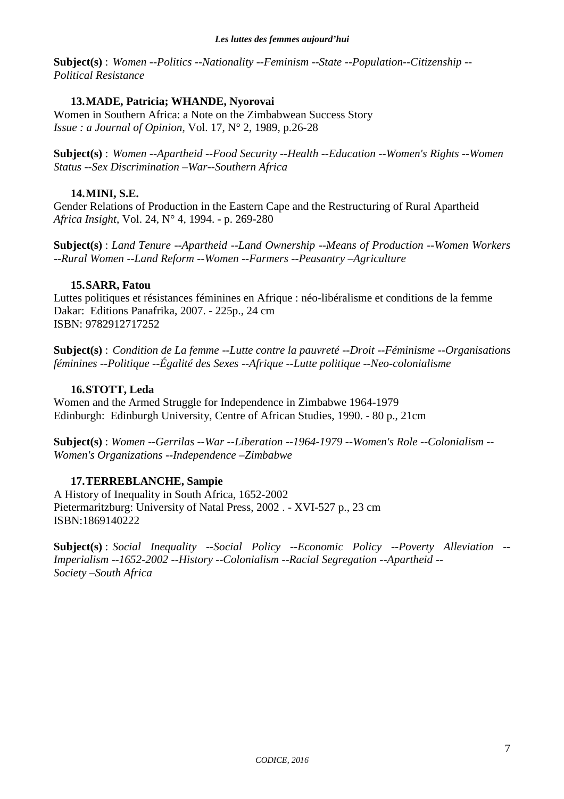**Subject(s)** : *Women --Politics --Nationality --Feminism --State --Population--Citizenship -- Political Resistance* 

## **13.MADE, Patricia; WHANDE, Nyorovai**

Women in Southern Africa: a Note on the Zimbabwean Success Story *Issue : a Journal of Opinion*, Vol. 17, N° 2, 1989, p.26-28

**Subject(s)** : *Women --Apartheid --Food Security --Health --Education --Women's Rights --Women Status --Sex Discrimination –War--Southern Africa*

## **14.MINI, S.E.**

Gender Relations of Production in the Eastern Cape and the Restructuring of Rural Apartheid *Africa Insight*, Vol. 24, N° 4, 1994. - p. 269-280

**Subject(s)** : *Land Tenure --Apartheid --Land Ownership --Means of Production --Women Workers --Rural Women --Land Reform --Women --Farmers --Peasantry –Agriculture*

## **15.SARR, Fatou**

Luttes politiques et résistances féminines en Afrique : néo-libéralisme et conditions de la femme Dakar: Editions Panafrika, 2007. - 225p., 24 cm ISBN: 9782912717252

**Subject(s)** : *Condition de La femme --Lutte contre la pauvreté --Droit --Féminisme --Organisations féminines --Politique --Égalité des Sexes --Afrique --Lutte politique --Neo-colonialisme* 

## **16.STOTT, Leda**

Women and the Armed Struggle for Independence in Zimbabwe 1964-1979 Edinburgh: Edinburgh University, Centre of African Studies, 1990. - 80 p., 21cm

**Subject(s)** : *Women --Gerrilas --War --Liberation --1964-1979 --Women's Role --Colonialism -- Women's Organizations --Independence –Zimbabwe*

## **17.TERREBLANCHE, Sampie**

A History of Inequality in South Africa, 1652-2002 Pietermaritzburg: University of Natal Press, 2002 . - XVI-527 p., 23 cm ISBN:1869140222

**Subject(s)** : *Social Inequality --Social Policy --Economic Policy --Poverty Alleviation -- Imperialism --1652-2002 --History --Colonialism --Racial Segregation --Apartheid -- Society –South Africa*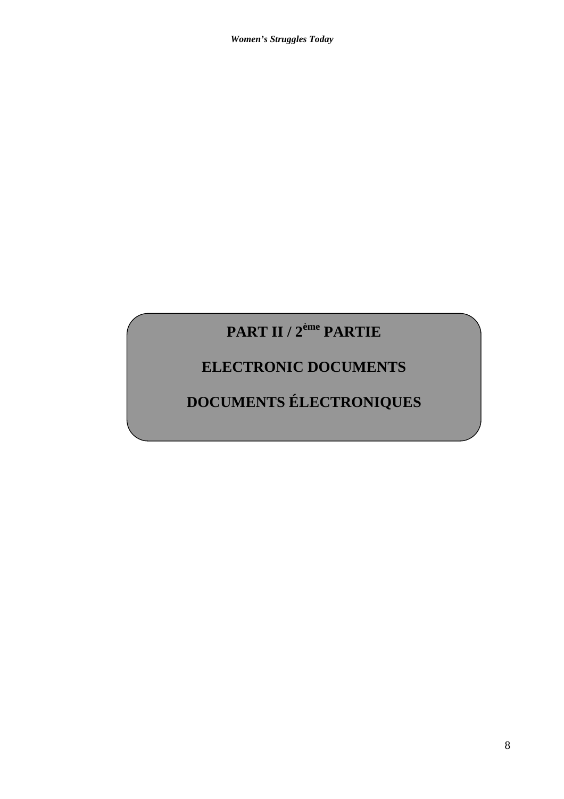# **PART II / 2ème PARTIE**

# **ELECTRONIC DOCUMENTS**

# **DOCUMENTS ÉLECTRONIQUES**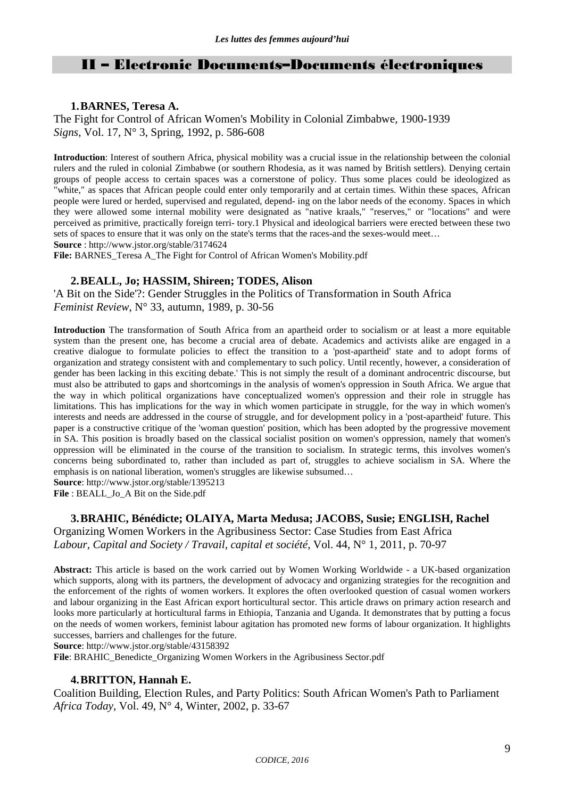## II – Electronic Documents–Documents électroniques

## **1.BARNES, Teresa A.**

The Fight for Control of African Women's Mobility in Colonial Zimbabwe, 1900-1939 *Signs*, Vol. 17, N° 3, Spring, 1992, p. 586-608

**Introduction**: Interest of southern Africa, physical mobility was a crucial issue in the relationship between the colonial rulers and the ruled in colonial Zimbabwe (or southern Rhodesia, as it was named by British settlers). Denying certain groups of people access to certain spaces was a cornerstone of policy. Thus some places could be ideologized as "white," as spaces that African people could enter only temporarily and at certain times. Within these spaces, African people were lured or herded, supervised and regulated, depend- ing on the labor needs of the economy. Spaces in which they were allowed some internal mobility were designated as "native kraals," "reserves," or "locations" and were perceived as primitive, practically foreign terri- tory.1 Physical and ideological barriers were erected between these two sets of spaces to ensure that it was only on the state's terms that the races-and the sexes-would meet… **Source** : http://www.jstor.org/stable/3174624

**File:** BARNES\_Teresa A\_The Fight for Control of African Women's Mobility.pdf

#### **2.BEALL, Jo; HASSIM, Shireen; TODES, Alison**

'A Bit on the Side'?: Gender Struggles in the Politics of Transformation in South Africa *Feminist Review*, N° 33, autumn, 1989, p. 30-56

**Introduction** The transformation of South Africa from an apartheid order to socialism or at least a more equitable system than the present one, has become a crucial area of debate. Academics and activists alike are engaged in a creative dialogue to formulate policies to effect the transition to a 'post-apartheid' state and to adopt forms of organization and strategy consistent with and complementary to such policy. Until recently, however, a consideration of gender has been lacking in this exciting debate.' This is not simply the result of a dominant androcentric discourse, but must also be attributed to gaps and shortcomings in the analysis of women's oppression in South Africa. We argue that the way in which political organizations have conceptualized women's oppression and their role in struggle has limitations. This has implications for the way in which women participate in struggle, for the way in which women's interests and needs are addressed in the course of struggle, and for development policy in a 'post-apartheid' future. This paper is a constructive critique of the 'woman question' position, which has been adopted by the progressive movement in SA. This position is broadly based on the classical socialist position on women's oppression, namely that women's oppression will be eliminated in the course of the transition to socialism. In strategic terms, this involves women's concerns being subordinated to, rather than included as part of, struggles to achieve socialism in SA. Where the emphasis is on national liberation, women's struggles are likewise subsumed… **Source**: http://www.jstor.org/stable/1395213

**File** : BEALL\_Jo\_A Bit on the Side.pdf

#### **3.BRAHIC, Bénédicte; OLAIYA, Marta Medusa; JACOBS, Susie; ENGLISH, Rachel**

Organizing Women Workers in the Agribusiness Sector: Case Studies from East Africa *Labour, Capital and Society / Travail, capital et société*, Vol. 44, N° 1, 2011, p. 70-97

**Abstract:** This article is based on the work carried out by Women Working Worldwide - a UK-based organization which supports, along with its partners, the development of advocacy and organizing strategies for the recognition and the enforcement of the rights of women workers. It explores the often overlooked question of casual women workers and labour organizing in the East African export horticultural sector. This article draws on primary action research and looks more particularly at horticultural farms in Ethiopia, Tanzania and Uganda. It demonstrates that by putting a focus on the needs of women workers, feminist labour agitation has promoted new forms of labour organization. It highlights successes, barriers and challenges for the future.

**Source**: http://www.jstor.org/stable/43158392

**File**: BRAHIC\_Benedicte\_Organizing Women Workers in the Agribusiness Sector.pdf

#### **4.BRITTON, Hannah E.**

Coalition Building, Election Rules, and Party Politics: South African Women's Path to Parliament *Africa Today*, Vol. 49, N° 4, Winter, 2002, p. 33-67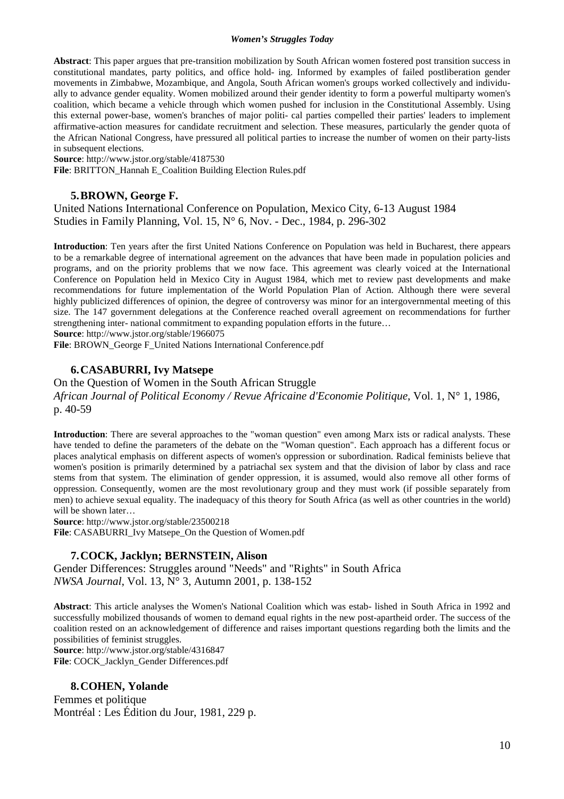**Abstract**: This paper argues that pre-transition mobilization by South African women fostered post transition success in constitutional mandates, party politics, and office hold- ing. Informed by examples of failed postliberation gender movements in Zimbabwe, Mozambique, and Angola, South African women's groups worked collectively and individually to advance gender equality. Women mobilized around their gender identity to form a powerful multiparty women's coalition, which became a vehicle through which women pushed for inclusion in the Constitutional Assembly. Using this external power-base, women's branches of major politi- cal parties compelled their parties' leaders to implement affirmative-action measures for candidate recruitment and selection. These measures, particularly the gender quota of the African National Congress, have pressured all political parties to increase the number of women on their party-lists in subsequent elections.

**Source**: http://www.jstor.org/stable/4187530

**File**: BRITTON\_Hannah E\_Coalition Building Election Rules.pdf

## **5.BROWN, George F.**

United Nations International Conference on Population, Mexico City, 6-13 August 1984 Studies in Family Planning, Vol. 15, N° 6, Nov. - Dec., 1984, p. 296-302

**Introduction**: Ten years after the first United Nations Conference on Population was held in Bucharest, there appears to be a remarkable degree of international agreement on the advances that have been made in population policies and programs, and on the priority problems that we now face. This agreement was clearly voiced at the International Conference on Population held in Mexico City in August 1984, which met to review past developments and make recommendations for future implementation of the World Population Plan of Action. Although there were several highly publicized differences of opinion, the degree of controversy was minor for an intergovernmental meeting of this size. The 147 government delegations at the Conference reached overall agreement on recommendations for further strengthening inter- national commitment to expanding population efforts in the future…

**Source**: http://www.jstor.org/stable/1966075

**File**: BROWN\_George F\_United Nations International Conference.pdf

## **6.CASABURRI, Ivy Matsepe**

On the Question of Women in the South African Struggle *African Journal of Political Economy / Revue Africaine d'Economie Politique*, Vol. 1, N° 1, 1986, p. 40-59

**Introduction**: There are several approaches to the "woman question" even among Marx ists or radical analysts. These have tended to define the parameters of the debate on the "Woman question". Each approach has a different focus or places analytical emphasis on different aspects of women's oppression or subordination. Radical feminists believe that women's position is primarily determined by a patriachal sex system and that the division of labor by class and race stems from that system. The elimination of gender oppression, it is assumed, would also remove all other forms of oppression. Consequently, women are the most revolutionary group and they must work (if possible separately from men) to achieve sexual equality. The inadequacy of this theory for South Africa (as well as other countries in the world) will be shown later…

**Source**: http://www.jstor.org/stable/23500218

**File**: CASABURRI\_Ivy Matsepe\_On the Question of Women.pdf

#### **7.COCK, Jacklyn; BERNSTEIN, Alison**

Gender Differences: Struggles around "Needs" and "Rights" in South Africa *NWSA Journal*, Vol. 13, N° 3, Autumn 2001, p. 138-152

**Abstract**: This article analyses the Women's National Coalition which was estab- lished in South Africa in 1992 and successfully mobilized thousands of women to demand equal rights in the new post-apartheid order. The success of the coalition rested on an acknowledgement of difference and raises important questions regarding both the limits and the possibilities of feminist struggles.

**Source**: http://www.jstor.org/stable/4316847 **File**: COCK\_Jacklyn\_Gender Differences.pdf

#### **8.COHEN, Yolande**

Femmes et politique Montréal : Les Édition du Jour, 1981, 229 p.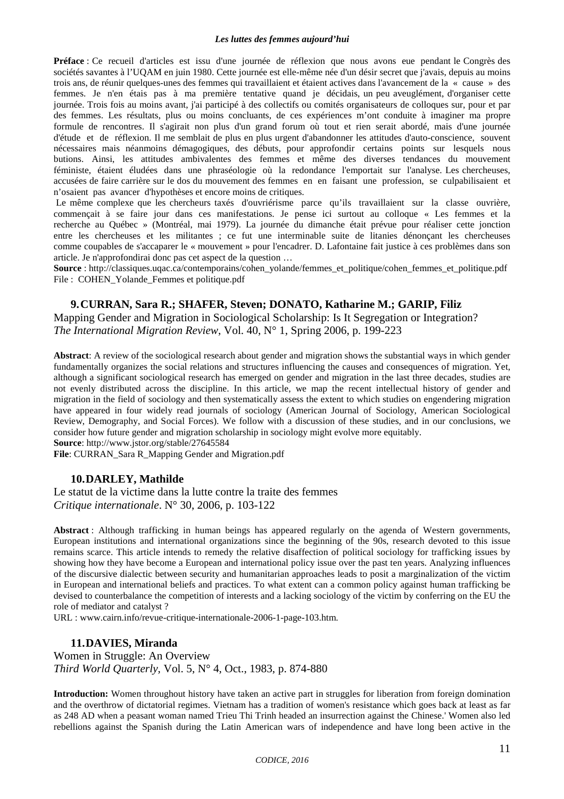#### *Les luttes des femmes aujourd'hui*

**Préface** : Ce recueil d'articles est issu d'une journée de réflexion que nous avons eue pendant le Congrès des sociétés savantes à l'UQAM en juin 1980. Cette journée est elle-même née d'un désir secret que j'avais, depuis au moins trois ans, de réunir quelques-unes des femmes qui travaillaient et étaient actives dans l'avancement de la « cause » des femmes. Je n'en étais pas à ma première tentative quand je décidais, un peu aveuglément, d'organiser cette journée. Trois fois au moins avant, j'ai participé à des collectifs ou comités organisateurs de colloques sur, pour et par des femmes. Les résultats, plus ou moins concluants, de ces expériences m'ont conduite à imaginer ma propre formule de rencontres. Il s'agirait non plus d'un grand forum où tout et rien serait abordé, mais d'une journée d'étude et de réflexion. Il me semblait de plus en plus urgent d'abandonner les attitudes d'auto-conscience, souvent nécessaires mais néanmoins démagogiques, des débuts, pour approfondir certains points sur lesquels nous butions. Ainsi, les attitudes ambivalentes des femmes et même des diverses tendances du mouvement féministe, étaient éludées dans une phraséologie où la redondance l'emportait sur l'analyse. Les chercheuses, accusées de faire carrière sur le dos du mouvement des femmes en en faisant une profession, se culpabilisaient et n'osaient pas avancer d'hypothèses et encore moins de critiques.

 Le même complexe que les chercheurs taxés d'ouvriérisme parce qu'ils travaillaient sur la classe ouvrière, commençait à se faire jour dans ces manifestations. Je pense ici surtout au colloque « Les femmes et la recherche au Québec » (Montréal, mai 1979). La journée du dimanche était prévue pour réaliser cette jonction entre les chercheuses et les militantes ; ce fut une interminable suite de litanies dénonçant les chercheuses comme coupables de s'accaparer le « mouvement » pour l'encadrer. D. Lafontaine fait justice à ces problèmes dans son article. Je n'approfondirai donc pas cet aspect de la question …

**Source**: http://classiques.uqac.ca/contemporains/cohen\_yolande/femmes\_et\_politique/cohen\_femmes\_et\_politique.pdf File : COHEN\_Yolande\_Femmes et politique.pdf

#### **9.CURRAN, Sara R.; SHAFER, Steven; DONATO, Katharine M.; GARIP, Filiz**

Mapping Gender and Migration in Sociological Scholarship: Is It Segregation or Integration? *The International Migration Review*, Vol. 40, N° 1, Spring 2006, p. 199-223

**Abstract**: A review of the sociological research about gender and migration shows the substantial ways in which gender fundamentally organizes the social relations and structures influencing the causes and consequences of migration. Yet, although a significant sociological research has emerged on gender and migration in the last three decades, studies are not evenly distributed across the discipline. In this article, we map the recent intellectual history of gender and migration in the field of sociology and then systematically assess the extent to which studies on engendering migration have appeared in four widely read journals of sociology (American Journal of Sociology, American Sociological Review, Demography, and Social Forces). We follow with a discussion of these studies, and in our conclusions, we consider how future gender and migration scholarship in sociology might evolve more equitably.

**Source**: http://www.jstor.org/stable/27645584

File: CURRAN\_Sara R\_Mapping Gender and Migration.pdf

#### **10.DARLEY, Mathilde**

Le statut de la victime dans la lutte contre la traite des femmes *Critique internationale*. N° 30, 2006, p. 103-122

**Abstract** : Although trafficking in human beings has appeared regularly on the agenda of Western governments, European institutions and international organizations since the beginning of the 90s, research devoted to this issue remains scarce. This article intends to remedy the relative disaffection of political sociology for trafficking issues by showing how they have become a European and international policy issue over the past ten years. Analyzing influences of the discursive dialectic between security and humanitarian approaches leads to posit a marginalization of the victim in European and international beliefs and practices. To what extent can a common policy against human trafficking be devised to counterbalance the competition of interests and a lacking sociology of the victim by conferring on the EU the role of mediator and catalyst ?

URL : www.cairn.info/revue-critique-internationale-2006-1-page-103.htm.

#### **11.DAVIES, Miranda**

Women in Struggle: An Overview *Third World Quarterly,* Vol. 5, N° 4, Oct., 1983, p. 874-880

**Introduction:** Women throughout history have taken an active part in struggles for liberation from foreign domination and the overthrow of dictatorial regimes. Vietnam has a tradition of women's resistance which goes back at least as far as 248 AD when a peasant woman named Trieu Thi Trinh headed an insurrection against the Chinese.' Women also led rebellions against the Spanish during the Latin American wars of independence and have long been active in the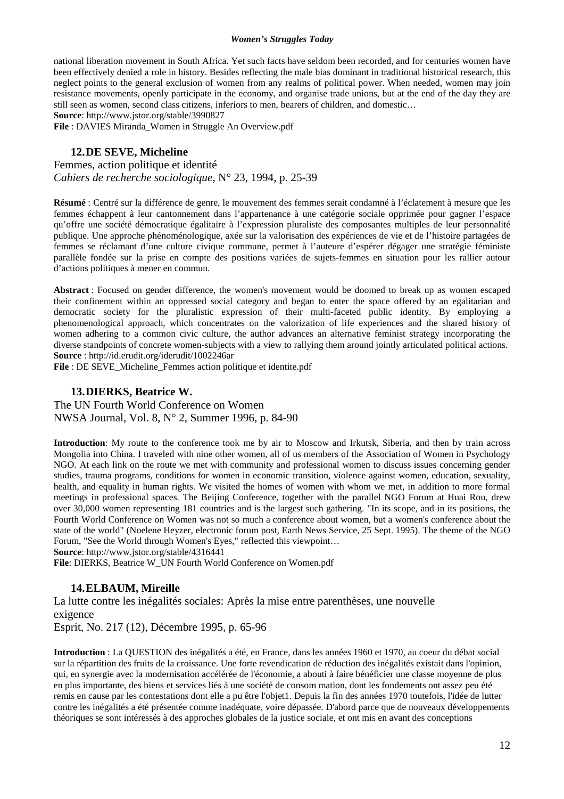national liberation movement in South Africa. Yet such facts have seldom been recorded, and for centuries women have been effectively denied a role in history. Besides reflecting the male bias dominant in traditional historical research, this neglect points to the general exclusion of women from any realms of political power. When needed, women may join resistance movements, openly participate in the economy, and organise trade unions, but at the end of the day they are still seen as women, second class citizens, inferiors to men, bearers of children, and domestic…

**Source**: http://www.jstor.org/stable/3990827

**File** : DAVIES Miranda\_Women in Struggle An Overview.pdf

### **12.DE SEVE, Micheline**

Femmes, action politique et identité *Cahiers de recherche sociologique*, N° 23, 1994, p. 25-39

**Résumé** : Centré sur la différence de genre, le mouvement des femmes serait condamné à l'éclatement à mesure que les femmes échappent à leur cantonnement dans l'appartenance à une catégorie sociale opprimée pour gagner l'espace qu'offre une société démocratique égalitaire à l'expression pluraliste des composantes multiples de leur personnalité publique. Une approche phénoménologique, axée sur la valorisation des expériences de vie et de l'histoire partagées de femmes se réclamant d'une culture civique commune, permet à l'auteure d'espérer dégager une stratégie féministe parallèle fondée sur la prise en compte des positions variées de sujets-femmes en situation pour les rallier autour d'actions politiques à mener en commun.

**Abstract** : Focused on gender difference, the women's movement would be doomed to break up as women escaped their confinement within an oppressed social category and began to enter the space offered by an egalitarian and democratic society for the pluralistic expression of their multi-faceted public identity. By employing a phenomenological approach, which concentrates on the valorization of life experiences and the shared history of women adhering to a common civic culture, the author advances an alternative feminist strategy incorporating the diverse standpoints of concrete women-subjects with a view to rallying them around jointly articulated political actions. **Source** : http://id.erudit.org/iderudit/1002246ar

**File** : DE SEVE\_Micheline\_Femmes action politique et identite.pdf

#### **13.DIERKS, Beatrice W.**

The UN Fourth World Conference on Women NWSA Journal, Vol. 8, N° 2, Summer 1996, p. 84-90

**Introduction**: My route to the conference took me by air to Moscow and Irkutsk, Siberia, and then by train across Mongolia into China. I traveled with nine other women, all of us members of the Association of Women in Psychology NGO. At each link on the route we met with community and professional women to discuss issues concerning gender studies, trauma programs, conditions for women in economic transition, violence against women, education, sexuality, health, and equality in human rights. We visited the homes of women with whom we met, in addition to more formal meetings in professional spaces. The Beijing Conference, together with the parallel NGO Forum at Huai Rou, drew over 30,000 women representing 181 countries and is the largest such gathering. "In its scope, and in its positions, the Fourth World Conference on Women was not so much a conference about women, but a women's conference about the state of the world" (Noelene Heyzer, electronic forum post, Earth News Service, 25 Sept. 1995). The theme of the NGO Forum, "See the World through Women's Eyes," reflected this viewpoint…

**Source**: http://www.jstor.org/stable/4316441

**File**: DIERKS, Beatrice W\_UN Fourth World Conference on Women.pdf

#### **14.ELBAUM, Mireille**

La lutte contre les inégalités sociales: Après la mise entre parenthèses, une nouvelle exigence

Esprit, No. 217 (12), Décembre 1995, p. 65-96

**Introduction** : La QUESTION des inégalités a été, en France, dans les années 1960 et 1970, au coeur du débat social sur la répartition des fruits de la croissance. Une forte revendication de réduction des inégalités existait dans l'opinion, qui, en synergie avec la modernisation accélérée de l'économie, a abouti à faire bénéficier une classe moyenne de plus en plus importante, des biens et services liés à une société de consom mation, dont les fondements ont assez peu été remis en cause par les contestations dont elle a pu être l'objet1. Depuis la fin des années 1970 toutefois, l'idée de lutter contre les inégalités a été présentée comme inadéquate, voire dépassée. D'abord parce que de nouveaux développements théoriques se sont intéressés à des approches globales de la justice sociale, et ont mis en avant des conceptions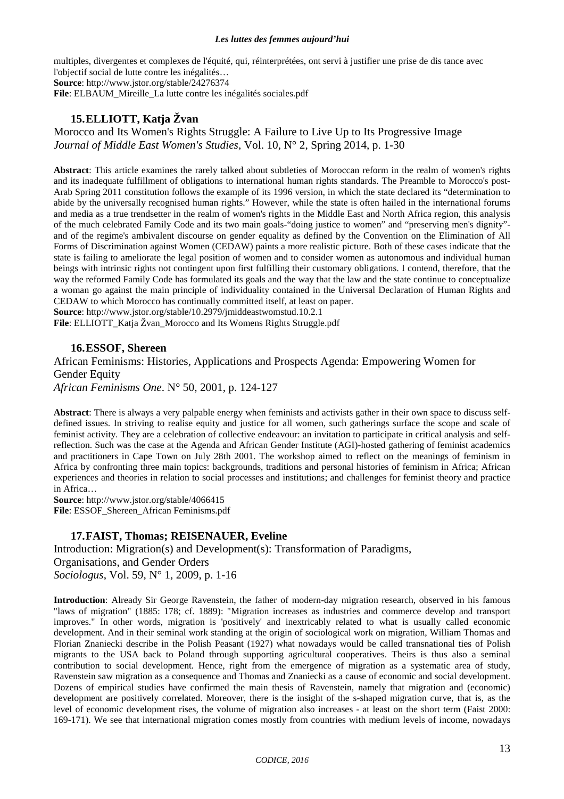#### *Les luttes des femmes aujourd'hui*

multiples, divergentes et complexes de l'équité, qui, réinterprétées, ont servi à justifier une prise de dis tance avec l'objectif social de lutte contre les inégalités…

**Source**: http://www.jstor.org/stable/24276374

**File**: ELBAUM\_Mireille\_La lutte contre les inégalités sociales.pdf

## **15.ELLIOTT, Katja Žvan**

Morocco and Its Women's Rights Struggle: A Failure to Live Up to Its Progressive Image *Journal of Middle East Women's Studies*, Vol. 10, N° 2, Spring 2014, p. 1-30

**Abstract**: This article examines the rarely talked about subtleties of Moroccan reform in the realm of women's rights and its inadequate fulfillment of obligations to international human rights standards. The Preamble to Morocco's post-Arab Spring 2011 constitution follows the example of its 1996 version, in which the state declared its "determination to abide by the universally recognised human rights." However, while the state is often hailed in the international forums and media as a true trendsetter in the realm of women's rights in the Middle East and North Africa region, this analysis of the much celebrated Family Code and its two main goals-"doing justice to women" and "preserving men's dignity" and of the regime's ambivalent discourse on gender equality as defined by the Convention on the Elimination of All Forms of Discrimination against Women (CEDAW) paints a more realistic picture. Both of these cases indicate that the state is failing to ameliorate the legal position of women and to consider women as autonomous and individual human beings with intrinsic rights not contingent upon first fulfilling their customary obligations. I contend, therefore, that the way the reformed Family Code has formulated its goals and the way that the law and the state continue to conceptualize a woman go against the main principle of individuality contained in the Universal Declaration of Human Rights and CEDAW to which Morocco has continually committed itself, at least on paper.

**Source**: http://www.jstor.org/stable/10.2979/jmiddeastwomstud.10.2.1

File: ELLIOTT Katja Žvan Morocco and Its Womens Rights Struggle.pdf

#### **16.ESSOF, Shereen**

African Feminisms: Histories, Applications and Prospects Agenda: Empowering Women for Gender Equity

*African Feminisms One*. N° 50, 2001, p. 124-127

**Abstract**: There is always a very palpable energy when feminists and activists gather in their own space to discuss selfdefined issues. In striving to realise equity and justice for all women, such gatherings surface the scope and scale of feminist activity. They are a celebration of collective endeavour: an invitation to participate in critical analysis and selfreflection. Such was the case at the Agenda and African Gender Institute (AGI)-hosted gathering of feminist academics and practitioners in Cape Town on July 28th 2001. The workshop aimed to reflect on the meanings of feminism in Africa by confronting three main topics: backgrounds, traditions and personal histories of feminism in Africa; African experiences and theories in relation to social processes and institutions; and challenges for feminist theory and practice in Africa…

**Source**: http://www.jstor.org/stable/4066415 **File**: ESSOF\_Shereen\_African Feminisms.pdf

#### **17.FAIST, Thomas; REISENAUER, Eveline**

Introduction: Migration(s) and Development(s): Transformation of Paradigms, Organisations, and Gender Orders *Sociologus*, Vol. 59, N° 1, 2009, p. 1-16

**Introduction**: Already Sir George Ravenstein, the father of modern-day migration research, observed in his famous "laws of migration" (1885: 178; cf. 1889): "Migration increases as industries and commerce develop and transport improves." In other words, migration is 'positively' and inextricably related to what is usually called economic development. And in their seminal work standing at the origin of sociological work on migration, William Thomas and Florian Znaniecki describe in the Polish Peasant (1927) what nowadays would be called transnational ties of Polish migrants to the USA back to Poland through supporting agricultural cooperatives. Theirs is thus also a seminal contribution to social development. Hence, right from the emergence of migration as a systematic area of study, Ravenstein saw migration as a consequence and Thomas and Znaniecki as a cause of economic and social development. Dozens of empirical studies have confirmed the main thesis of Ravenstein, namely that migration and (economic) development are positively correlated. Moreover, there is the insight of the s-shaped migration curve, that is, as the level of economic development rises, the volume of migration also increases - at least on the short term (Faist 2000: 169-171). We see that international migration comes mostly from countries with medium levels of income, nowadays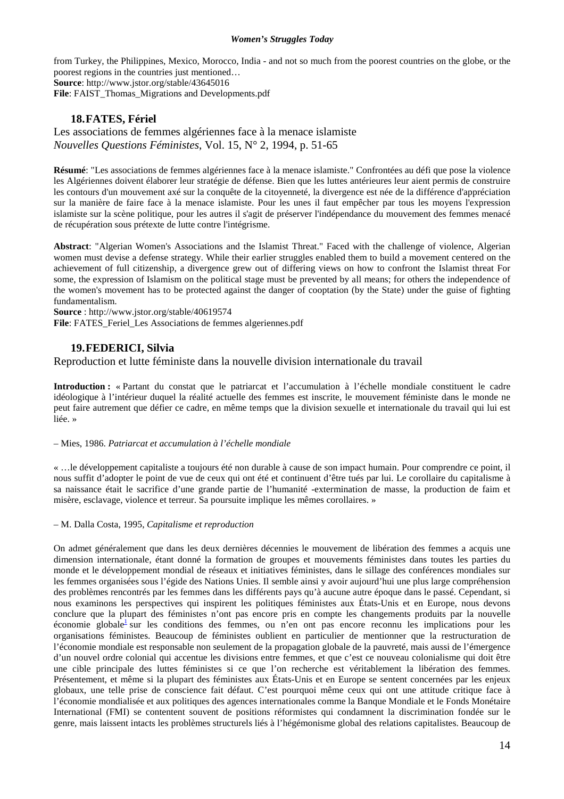from Turkey, the Philippines, Mexico, Morocco, India - and not so much from the poorest countries on the globe, or the poorest regions in the countries just mentioned…

**Source**: http://www.jstor.org/stable/43645016

**File**: FAIST\_Thomas\_Migrations and Developments.pdf

## **18.FATES, Fériel**

## Les associations de femmes algériennes face à la menace islamiste *Nouvelles Questions Féministes*, Vol. 15, N° 2, 1994, p. 51-65

**Résumé**: "Les associations de femmes algériennes face à la menace islamiste." Confrontées au défi que pose la violence les Algériennes doivent élaborer leur stratégie de défense. Bien que les luttes antérieures leur aient permis de construire les contours d'un mouvement axé sur la conquête de la citoyenneté, la divergence est née de la différence d'appréciation sur la manière de faire face à la menace islamiste. Pour les unes il faut empêcher par tous les moyens l'expression islamiste sur la scène politique, pour les autres il s'agit de préserver l'indépendance du mouvement des femmes menacé de récupération sous prétexte de lutte contre l'intégrisme.

**Abstract**: "Algerian Women's Associations and the Islamist Threat." Faced with the challenge of violence, Algerian women must devise a defense strategy. While their earlier struggles enabled them to build a movement centered on the achievement of full citizenship, a divergence grew out of differing views on how to confront the Islamist threat For some, the expression of Islamism on the political stage must be prevented by all means; for others the independence of the women's movement has to be protected against the danger of cooptation (by the State) under the guise of fighting fundamentalism.

**Source** : http://www.jstor.org/stable/40619574

**File**: FATES\_Feriel\_Les Associations de femmes algeriennes.pdf

## **19.FEDERICI, Silvia**

#### Reproduction et lutte féministe dans la nouvelle division internationale du travail

**Introduction :** « Partant du constat que le patriarcat et l'accumulation à l'échelle mondiale constituent le cadre idéologique à l'intérieur duquel la réalité actuelle des femmes est inscrite, le mouvement féministe dans le monde ne peut faire autrement que défier ce cadre, en même temps que la division sexuelle et internationale du travail qui lui est liée. »

#### – Mies, 1986. *Patriarcat et accumulation à l'échelle mondiale*

« …le développement capitaliste a toujours été non durable à cause de son impact humain. Pour comprendre ce point, il nous suffit d'adopter le point de vue de ceux qui ont été et continuent d'être tués par lui. Le corollaire du capitalisme à sa naissance était le sacrifice d'une grande partie de l'humanité -extermination de masse, la production de faim et misère, esclavage, violence et terreur. Sa poursuite implique les mêmes corollaires. »

#### – M. Dalla Costa, 1995, *Capitalisme et reproduction*

On admet généralement que dans les deux dernières décennies le mouvement de libération des femmes a acquis une dimension internationale, étant donné la formation de groupes et mouvements féministes dans toutes les parties du monde et le développement mondial de réseaux et initiatives féministes, dans le sillage des conférences mondiales sur les femmes organisées sous l'égide des Nations Unies. Il semble ainsi y avoir aujourd'hui une plus large compréhension des problèmes rencontrés par les femmes dans les différents pays qu'à aucune autre époque dans le passé. Cependant, si nous examinons les perspectives qui inspirent les politiques féministes aux États-Unis et en Europe, nous devons conclure que la plupart des féministes n'ont pas encore pris en compte les changements produits par la nouvelle économie globale<sup>1</sup> sur les conditions des femmes, ou n'en ont pas encore reconnu les implications pour les organisations féministes. Beaucoup de féministes oublient en particulier de mentionner que la restructuration de l'économie mondiale est responsable non seulement de la propagation globale de la pauvreté, mais aussi de l'émergence d'un nouvel ordre colonial qui accentue les divisions entre femmes, et que c'est ce nouveau colonialisme qui doit être une cible principale des luttes féministes si ce que l'on recherche est véritablement la libération des femmes. Présentement, et même si la plupart des féministes aux États-Unis et en Europe se sentent concernées par les enjeux globaux, une telle prise de conscience fait défaut. C'est pourquoi même ceux qui ont une attitude critique face à l'économie mondialisée et aux politiques des agences internationales comme la Banque Mondiale et le Fonds Monétaire International (FMI) se contentent souvent de positions réformistes qui condamnent la discrimination fondée sur le genre, mais laissent intacts les problèmes structurels liés à l'hégémonisme global des relations capitalistes. Beaucoup de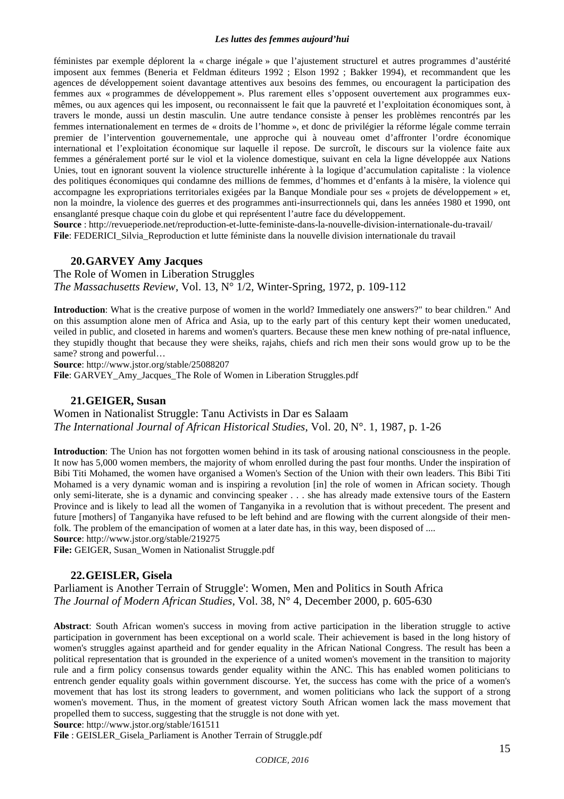#### *Les luttes des femmes aujourd'hui*

féministes par exemple déplorent la « charge inégale » que l'ajustement structurel et autres programmes d'austérité imposent aux femmes (Beneria et Feldman éditeurs 1992 ; Elson 1992 ; Bakker 1994), et recommandent que les agences de développement soient davantage attentives aux besoins des femmes, ou encouragent la participation des femmes aux « programmes de développement ». Plus rarement elles s'opposent ouvertement aux programmes euxmêmes, ou aux agences qui les imposent, ou reconnaissent le fait que la pauvreté et l'exploitation économiques sont, à travers le monde, aussi un destin masculin. Une autre tendance consiste à penser les problèmes rencontrés par les femmes internationalement en termes de « droits de l'homme », et donc de privilégier la réforme légale comme terrain premier de l'intervention gouvernementale, une approche qui à nouveau omet d'affronter l'ordre économique international et l'exploitation économique sur laquelle il repose. De surcroît, le discours sur la violence faite aux femmes a généralement porté sur le viol et la violence domestique, suivant en cela la ligne développée aux Nations Unies, tout en ignorant souvent la violence structurelle inhérente à la logique d'accumulation capitaliste : la violence des politiques économiques qui condamne des millions de femmes, d'hommes et d'enfants à la misère, la violence qui accompagne les expropriations territoriales exigées par la Banque Mondiale pour ses « projets de développement » et, non la moindre, la violence des guerres et des programmes anti-insurrectionnels qui, dans les années 1980 et 1990, ont ensanglanté presque chaque coin du globe et qui représentent l'autre face du développement.

**Source** : http://revueperiode.net/reproduction-et-lutte-feministe-dans-la-nouvelle-division-internationale-du-travail/ **File**: FEDERICI\_Silvia\_Reproduction et lutte féministe dans la nouvelle division internationale du travail

#### **20.GARVEY Amy Jacques**

The Role of Women in Liberation Struggles *The Massachusetts Review*, Vol. 13, N° 1/2, Winter-Spring, 1972, p. 109-112

**Introduction**: What is the creative purpose of women in the world? Immediately one answers?" to bear children." And on this assumption alone men of Africa and Asia, up to the early part of this century kept their women uneducated, veiled in public, and closeted in harems and women's quarters. Because these men knew nothing of pre-natal influence, they stupidly thought that because they were sheiks, rajahs, chiefs and rich men their sons would grow up to be the same? strong and powerful…

**Source**: http://www.jstor.org/stable/25088207 **File**: GARVEY\_Amy\_Jacques\_The Role of Women in Liberation Struggles.pdf

## **21.GEIGER, Susan**

Women in Nationalist Struggle: Tanu Activists in Dar es Salaam *The International Journal of African Historical Studies*, Vol. 20, N°. 1, 1987, p. 1-26

**Introduction**: The Union has not forgotten women behind in its task of arousing national consciousness in the people. It now has 5,000 women members, the majority of whom enrolled during the past four months. Under the inspiration of Bibi Titi Mohamed, the women have organised a Women's Section of the Union with their own leaders. This Bibi Titi Mohamed is a very dynamic woman and is inspiring a revolution [in] the role of women in African society. Though only semi-literate, she is a dynamic and convincing speaker . . . she has already made extensive tours of the Eastern Province and is likely to lead all the women of Tanganyika in a revolution that is without precedent. The present and future [mothers] of Tanganyika have refused to be left behind and are flowing with the current alongside of their menfolk. The problem of the emancipation of women at a later date has, in this way, been disposed of ....

**Source**: http://www.jstor.org/stable/219275

File: GEIGER, Susan\_Women in Nationalist Struggle.pdf

#### **22.GEISLER, Gisela**

Parliament is Another Terrain of Struggle': Women, Men and Politics in South Africa *The Journal of Modern African Studies*, Vol. 38, N° 4, December 2000, p. 605-630

**Abstract**: South African women's success in moving from active participation in the liberation struggle to active participation in government has been exceptional on a world scale. Their achievement is based in the long history of women's struggles against apartheid and for gender equality in the African National Congress. The result has been a political representation that is grounded in the experience of a united women's movement in the transition to majority rule and a firm policy consensus towards gender equality within the ANC. This has enabled women politicians to entrench gender equality goals within government discourse. Yet, the success has come with the price of a women's movement that has lost its strong leaders to government, and women politicians who lack the support of a strong women's movement. Thus, in the moment of greatest victory South African women lack the mass movement that propelled them to success, suggesting that the struggle is not done with yet.

**Source**: http://www.jstor.org/stable/161511

**File** : GEISLER\_Gisela\_Parliament is Another Terrain of Struggle.pdf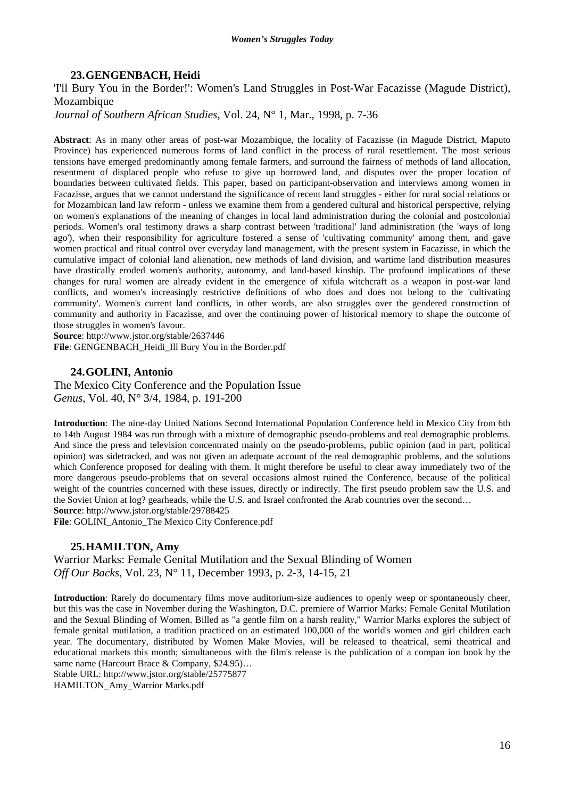## **23.GENGENBACH, Heidi**

#### 'I'll Bury You in the Border!': Women's Land Struggles in Post-War Facazisse (Magude District), Mozambique

*Journal of Southern African Studies*, Vol. 24, N° 1, Mar., 1998, p. 7-36

**Abstract**: As in many other areas of post-war Mozambique, the locality of Facazisse (in Magude District, Maputo Province) has experienced numerous forms of land conflict in the process of rural resettlement. The most serious tensions have emerged predominantly among female farmers, and surround the fairness of methods of land allocation, resentment of displaced people who refuse to give up borrowed land, and disputes over the proper location of boundaries between cultivated fields. This paper, based on participant-observation and interviews among women in Facazisse, argues that we cannot understand the significance of recent land struggles - either for rural social relations or for Mozambican land law reform - unless we examine them from a gendered cultural and historical perspective, relying on women's explanations of the meaning of changes in local land administration during the colonial and postcolonial periods. Women's oral testimony draws a sharp contrast between 'traditional' land administration (the 'ways of long ago'), when their responsibility for agriculture fostered a sense of 'cultivating community' among them, and gave women practical and ritual control over everyday land management, with the present system in Facazisse, in which the cumulative impact of colonial land alienation, new methods of land division, and wartime land distribution measures have drastically eroded women's authority, autonomy, and land-based kinship. The profound implications of these changes for rural women are already evident in the emergence of xifula witchcraft as a weapon in post-war land conflicts, and women's increasingly restrictive definitions of who does and does not belong to the 'cultivating community'. Women's current land conflicts, in other words, are also struggles over the gendered construction of community and authority in Facazisse, and over the continuing power of historical memory to shape the outcome of those struggles in women's favour.

**Source**: http://www.jstor.org/stable/2637446 **File**: GENGENBACH\_Heidi\_Ill Bury You in the Border.pdf

#### **24.GOLINI, Antonio**

The Mexico City Conference and the Population Issue *Genus*, Vol. 40, N° 3/4, 1984, p. 191-200

**Introduction**: The nine-day United Nations Second International Population Conference held in Mexico City from 6th to 14th August 1984 was run through with a mixture of demographic pseudo-problems and real demographic problems. And since the press and television concentrated mainly on the pseudo-problems, public opinion (and in part, political opinion) was sidetracked, and was not given an adequate account of the real demographic problems, and the solutions which Conference proposed for dealing with them. It might therefore be useful to clear away immediately two of the more dangerous pseudo-problems that on several occasions almost ruined the Conference, because of the political weight of the countries concerned with these issues, directly or indirectly. The first pseudo problem saw the U.S. and the Soviet Union at log? gearheads, while the U.S. and Israel confronted the Arab countries over the second… **Source**: http://www.jstor.org/stable/29788425

**File**: GOLINI\_Antonio\_The Mexico City Conference.pdf

#### **25.HAMILTON, Amy**

Warrior Marks: Female Genital Mutilation and the Sexual Blinding of Women *Off Our Backs*, Vol. 23, N° 11, December 1993, p. 2-3, 14-15, 21

**Introduction**: Rarely do documentary films move auditorium-size audiences to openly weep or spontaneously cheer, but this was the case in November during the Washington, D.C. premiere of Warrior Marks: Female Genital Mutilation and the Sexual Blinding of Women. Billed as "a gentle film on a harsh reality," Warrior Marks explores the subject of female genital mutilation, a tradition practiced on an estimated 100,000 of the world's women and girl children each year. The documentary, distributed by Women Make Movies, will be released to theatrical, semi theatrical and educational markets this month; simultaneous with the film's release is the publication of a compan ion book by the same name (Harcourt Brace & Company, \$24.95)... Stable URL: http://www.jstor.org/stable/25775877

HAMILTON\_Amy\_Warrior Marks.pdf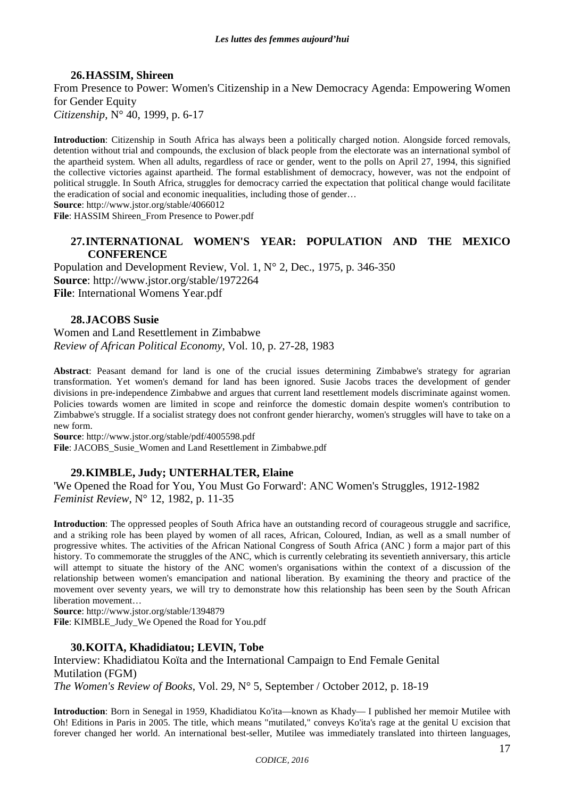## **26.HASSIM, Shireen**

From Presence to Power: Women's Citizenship in a New Democracy Agenda: Empowering Women for Gender Equity *Citizenship*, N° 40, 1999, p. 6-17

**Introduction**: Citizenship in South Africa has always been a politically charged notion. Alongside forced removals, detention without trial and compounds, the exclusion of black people from the electorate was an international symbol of the apartheid system. When all adults, regardless of race or gender, went to the polls on April 27, 1994, this signified the collective victories against apartheid. The formal establishment of democracy, however, was not the endpoint of political struggle. In South Africa, struggles for democracy carried the expectation that political change would facilitate the eradication of social and economic inequalities, including those of gender…

**Source**: http://www.jstor.org/stable/4066012

**File**: HASSIM Shireen\_From Presence to Power.pdf

## **27.INTERNATIONAL WOMEN'S YEAR: POPULATION AND THE MEXICO CONFERENCE**

Population and Development Review, Vol. 1, N° 2, Dec., 1975, p. 346-350 **Source**: http://www.jstor.org/stable/1972264 **File**: International Womens Year.pdf

#### **28.JACOBS Susie**

Women and Land Resettlement in Zimbabwe *Review of African Political Economy*, Vol. 10, p. 27-28, 1983

**Abstract**: Peasant demand for land is one of the crucial issues determining Zimbabwe's strategy for agrarian transformation. Yet women's demand for land has been ignored. Susie Jacobs traces the development of gender divisions in pre‐independence Zimbabwe and argues that current land resettlement models discriminate against women. Policies towards women are limited in scope and reinforce the domestic domain despite women's contribution to Zimbabwe's struggle. If a socialist strategy does not confront gender hierarchy, women's struggles will have to take on a new form.

**Source**: http://www.jstor.org/stable/pdf/4005598.pdf **File**: JACOBS\_Susie\_Women and Land Resettlement in Zimbabwe.pdf

#### **29.KIMBLE, Judy; UNTERHALTER, Elaine**

'We Opened the Road for You, You Must Go Forward': ANC Women's Struggles, 1912-1982 *Feminist Review*, N° 12, 1982, p. 11-35

**Introduction**: The oppressed peoples of South Africa have an outstanding record of courageous struggle and sacrifice, and a striking role has been played by women of all races, African, Coloured, Indian, as well as a small number of progressive whites. The activities of the African National Congress of South Africa (ANC ) form a major part of this history. To commemorate the struggles of the ANC, which is currently celebrating its seventieth anniversary, this article will attempt to situate the history of the ANC women's organisations within the context of a discussion of the relationship between women's emancipation and national liberation. By examining the theory and practice of the movement over seventy years, we will try to demonstrate how this relationship has been seen by the South African liberation movement…

**Source**: http://www.jstor.org/stable/1394879

**File**: KIMBLE\_Judy\_We Opened the Road for You.pdf

## **30.KOITA, Khadidiatou; LEVIN, Tobe**

Interview: Khadidiatou Koïta and the International Campaign to End Female Genital Mutilation (FGM) *The Women's Review of Books*, Vol. 29, N° 5, September / October 2012, p. 18-19

**Introduction**: Born in Senegal in 1959, Khadidiatou Ko'ita—known as Khady— I published her memoir Mutilee with Oh! Editions in Paris in 2005. The title, which means "mutilated," conveys Ko'ita's rage at the genital U excision that forever changed her world. An international best-seller, Mutilee was immediately translated into thirteen languages,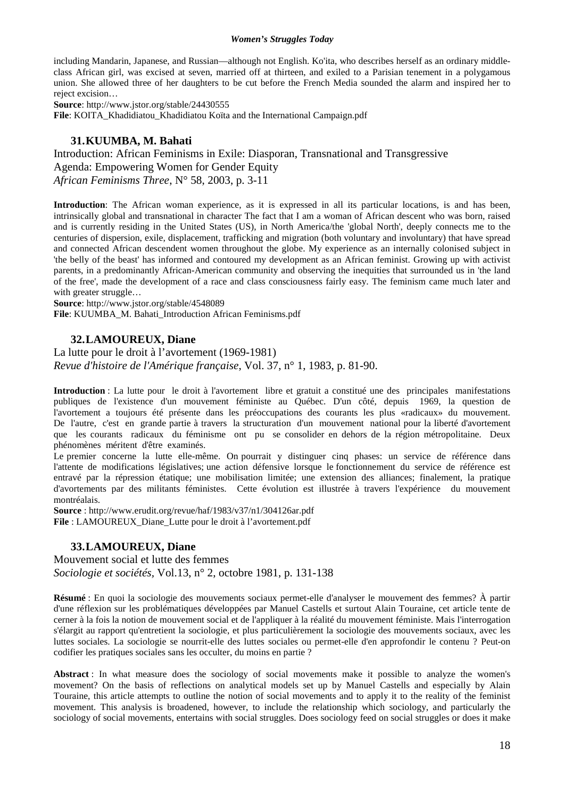including Mandarin, Japanese, and Russian—although not English. Ko'ita, who describes herself as an ordinary middleclass African girl, was excised at seven, married off at thirteen, and exiled to a Parisian tenement in a polygamous union. She allowed three of her daughters to be cut before the French Media sounded the alarm and inspired her to reject excision…

**Source**: http://www.jstor.org/stable/24430555

**File**: KOITA\_Khadidiatou\_Khadidiatou Koïta and the International Campaign.pdf

## **31.KUUMBA, M. Bahati**

Introduction: African Feminisms in Exile: Diasporan, Transnational and Transgressive Agenda: Empowering Women for Gender Equity *African Feminisms Three*, N° 58, 2003, p. 3-11

**Introduction**: The African woman experience, as it is expressed in all its particular locations, is and has been, intrinsically global and transnational in character The fact that I am a woman of African descent who was born, raised and is currently residing in the United States (US), in North America/the 'global North', deeply connects me to the centuries of dispersion, exile, displacement, trafficking and migration (both voluntary and involuntary) that have spread and connected African descendent women throughout the globe. My experience as an internally colonised subject in 'the belly of the beast' has informed and contoured my development as an African feminist. Growing up with activist parents, in a predominantly African-American community and observing the inequities that surrounded us in 'the land of the free', made the development of a race and class consciousness fairly easy. The feminism came much later and with greater struggle…

**Source**: http://www.jstor.org/stable/4548089 **File**: KUUMBA\_M. Bahati\_Introduction African Feminisms.pdf

## **32.LAMOUREUX, Diane**

La lutte pour le droit à l'avortement (1969-1981) *Revue d'histoire de l'Amérique française*, Vol. 37, n° 1, 1983, p. 81-90.

**Introduction** : La lutte pour le droit à l'avortement libre et gratuit a constitué une des principales manifestations publiques de l'existence d'un mouvement féministe au Québec. D'un côté, depuis 1969, la question de l'avortement a toujours été présente dans les préoccupations des courants les plus «radicaux» du mouvement. De l'autre, c'est en grande partie à travers la structuration d'un mouvement national pour la liberté d'avortement que les courants radicaux du féminisme ont pu se consolider en dehors de la région métropolitaine. Deux phénomènes méritent d'être examinés.

Le premier concerne la lutte elle-même. On pourrait y distinguer cinq phases: un service de référence dans l'attente de modifications législatives; une action défensive lorsque le fonctionnement du service de référence est entravé par la répression étatique; une mobilisation limitée; une extension des alliances; finalement, la pratique d'avortements par des militants féministes. Cette évolution est illustrée à travers l'expérience du mouvement montréalais.

**Source** : http://www.erudit.org/revue/haf/1983/v37/n1/304126ar.pdf **File** : LAMOUREUX\_Diane\_Lutte pour le droit à l'avortement.pdf

#### **33.LAMOUREUX, Diane**

Mouvement social et lutte des femmes *Sociologie et sociétés,* Vol.13, n° 2, octobre 1981, p. 131-138

**Résumé** : En quoi la sociologie des mouvements sociaux permet-elle d'analyser le mouvement des femmes? À partir d'une réflexion sur les problématiques développées par Manuel Castells et surtout Alain Touraine, cet article tente de cerner à la fois la notion de mouvement social et de l'appliquer à la réalité du mouvement féministe. Mais l'interrogation s'élargit au rapport qu'entretient la sociologie, et plus particulièrement la sociologie des mouvements sociaux, avec les luttes sociales. La sociologie se nourrit-elle des luttes sociales ou permet-elle d'en approfondir le contenu ? Peut-on codifier les pratiques sociales sans les occulter, du moins en partie ?

**Abstract** : In what measure does the sociology of social movements make it possible to analyze the women's movement? On the basis of reflections on analytical models set up by Manuel Castells and especially by Alain Touraine, this article attempts to outline the notion of social movements and to apply it to the reality of the feminist movement. This analysis is broadened, however, to include the relationship which sociology, and particularly the sociology of social movements, entertains with social struggles. Does sociology feed on social struggles or does it make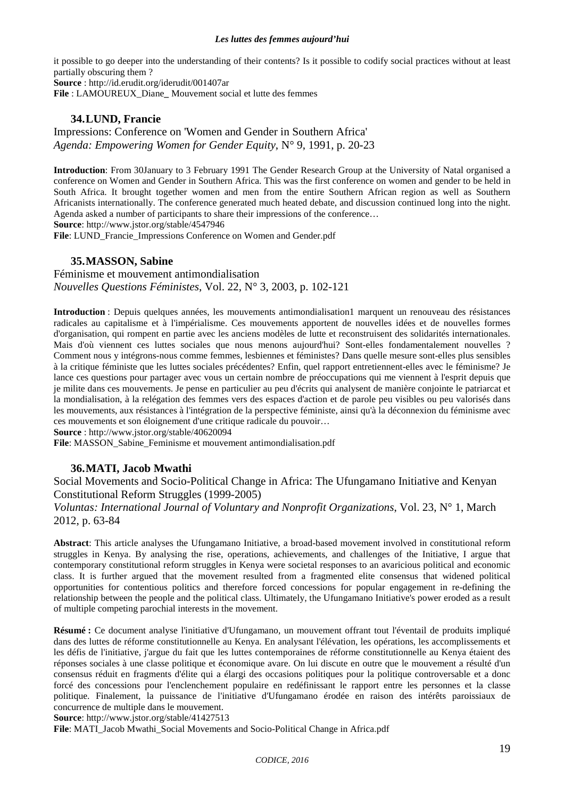#### *Les luttes des femmes aujourd'hui*

it possible to go deeper into the understanding of their contents? Is it possible to codify social practices without at least partially obscuring them ?

**Source** : http://id.erudit.org/iderudit/001407ar **File** : LAMOUREUX\_Diane**\_** Mouvement social et lutte des femmes

## **34.LUND, Francie**

Impressions: Conference on 'Women and Gender in Southern Africa' *Agenda: Empowering Women for Gender Equity*, N° 9, 1991, p. 20-23

**Introduction**: From 30January to 3 February 1991 The Gender Research Group at the University of Natal organised a conference on Women and Gender in Southern Africa. This was the first conference on women and gender to be held in South Africa. It brought together women and men from the entire Southern African region as well as Southern Africanists internationally. The conference generated much heated debate, and discussion continued long into the night. Agenda asked a number of participants to share their impressions of the conference…

**Source**: http://www.jstor.org/stable/4547946

**File**: LUND\_Francie\_Impressions Conference on Women and Gender.pdf

## **35.MASSON, Sabine**

Féminisme et mouvement antimondialisation *Nouvelles Questions Féministes*, Vol. 22, N° 3, 2003, p. 102-121

**Introduction** : Depuis quelques années, les mouvements antimondialisation1 marquent un renouveau des résistances radicales au capitalisme et à l'impérialisme. Ces mouvements apportent de nouvelles idées et de nouvelles formes d'organisation, qui rompent en partie avec les anciens modèles de lutte et reconstruisent des solidarités internationales. Mais d'où viennent ces luttes sociales que nous menons aujourd'hui? Sont-elles fondamentalement nouvelles ? Comment nous y intégrons-nous comme femmes, lesbiennes et féministes? Dans quelle mesure sont-elles plus sensibles à la critique féministe que les luttes sociales précédentes? Enfin, quel rapport entretiennent-elles avec le féminisme? Je lance ces questions pour partager avec vous un certain nombre de préoccupations qui me viennent à l'esprit depuis que je milite dans ces mouvements. Je pense en particulier au peu d'écrits qui analysent de manière conjointe le patriarcat et la mondialisation, à la relégation des femmes vers des espaces d'action et de parole peu visibles ou peu valorisés dans les mouvements, aux résistances à l'intégration de la perspective féministe, ainsi qu'à la déconnexion du féminisme avec ces mouvements et son éloignement d'une critique radicale du pouvoir…

**Source** : http://www.jstor.org/stable/40620094

**File**: MASSON\_Sabine\_Feminisme et mouvement antimondialisation.pdf

#### **36.MATI, Jacob Mwathi**

Social Movements and Socio-Political Change in Africa: The Ufungamano Initiative and Kenyan Constitutional Reform Struggles (1999-2005)

## *Voluntas: International Journal of Voluntary and Nonprofit Organizations*, Vol. 23, N° 1, March 2012, p. 63-84

**Abstract**: This article analyses the Ufungamano Initiative, a broad-based movement involved in constitutional reform struggles in Kenya. By analysing the rise, operations, achievements, and challenges of the Initiative, I argue that contemporary constitutional reform struggles in Kenya were societal responses to an avaricious political and economic class. It is further argued that the movement resulted from a fragmented elite consensus that widened political opportunities for contentious politics and therefore forced concessions for popular engagement in re-defining the relationship between the people and the political class. Ultimately, the Ufungamano Initiative's power eroded as a result of multiple competing parochial interests in the movement.

**Résumé :** Ce document analyse l'initiative d'Ufungamano, un mouvement offrant tout l'éventail de produits impliqué dans des luttes de réforme constitutionnelle au Kenya. En analysant l'élévation, les opérations, les accomplissements et les défis de l'initiative, j'argue du fait que les luttes contemporaines de réforme constitutionnelle au Kenya étaient des réponses sociales à une classe politique et économique avare. On lui discute en outre que le mouvement a résulté d'un consensus réduit en fragments d'élite qui a élargi des occasions politiques pour la politique controversable et a donc forcé des concessions pour l'enclenchement populaire en redéfinissant le rapport entre les personnes et la classe politique. Finalement, la puissance de l'initiative d'Ufungamano érodée en raison des intérêts paroissiaux de concurrence de multiple dans le mouvement.

**Source**: http://www.jstor.org/stable/41427513

**File**: MATI\_Jacob Mwathi\_Social Movements and Socio-Political Change in Africa.pdf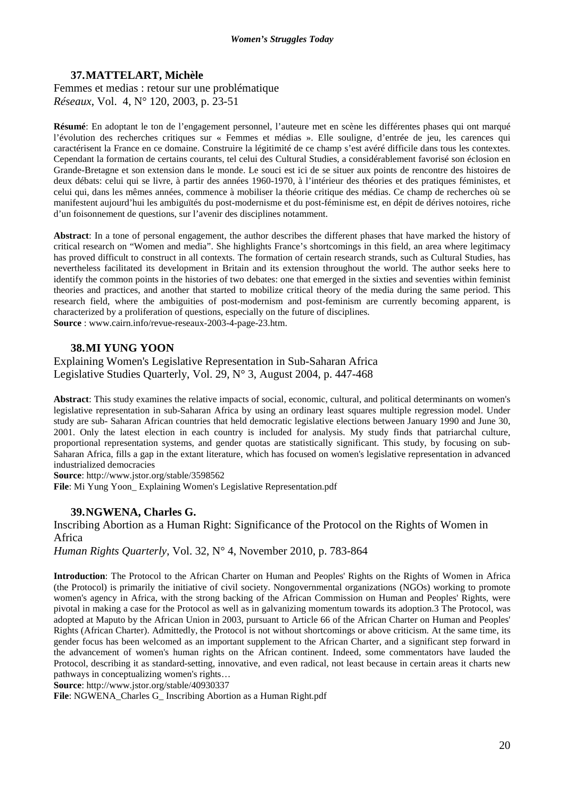## **37.MATTELART, Michèle**

Femmes et medias : retour sur une problématique *Réseaux*, Vol. 4, N° 120, 2003, p. 23-51

**Résumé**: En adoptant le ton de l'engagement personnel, l'auteure met en scène les différentes phases qui ont marqué l'évolution des recherches critiques sur « Femmes et médias ». Elle souligne, d'entrée de jeu, les carences qui caractérisent la France en ce domaine. Construire la légitimité de ce champ s'est avéré difficile dans tous les contextes. Cependant la formation de certains courants, tel celui des Cultural Studies, a considérablement favorisé son éclosion en Grande-Bretagne et son extension dans le monde. Le souci est ici de se situer aux points de rencontre des histoires de deux débats: celui qui se livre, à partir des années 1960-1970, à l'intérieur des théories et des pratiques féministes, et celui qui, dans les mêmes années, commence à mobiliser la théorie critique des médias. Ce champ de recherches où se manifestent aujourd'hui les ambiguïtés du post-modernisme et du post-féminisme est, en dépit de dérives notoires, riche d'un foisonnement de questions, sur l'avenir des disciplines notamment.

**Abstract**: In a tone of personal engagement, the author describes the different phases that have marked the history of critical research on "Women and media". She highlights France's shortcomings in this field, an area where legitimacy has proved difficult to construct in all contexts. The formation of certain research strands, such as Cultural Studies, has nevertheless facilitated its development in Britain and its extension throughout the world. The author seeks here to identify the common points in the histories of two debates: one that emerged in the sixties and seventies within feminist theories and practices, and another that started to mobilize critical theory of the media during the same period. This research field, where the ambiguities of post-modernism and post-feminism are currently becoming apparent, is characterized by a proliferation of questions, especially on the future of disciplines. **Source** : www.cairn.info/revue-reseaux-2003-4-page-23.htm.

## **38.MI YUNG YOON**

Explaining Women's Legislative Representation in Sub-Saharan Africa Legislative Studies Quarterly, Vol. 29, N° 3, August 2004, p. 447-468

**Abstract**: This study examines the relative impacts of social, economic, cultural, and political determinants on women's legislative representation in sub-Saharan Africa by using an ordinary least squares multiple regression model. Under study are sub- Saharan African countries that held democratic legislative elections between January 1990 and June 30, 2001. Only the latest election in each country is included for analysis. My study finds that patriarchal culture, proportional representation systems, and gender quotas are statistically significant. This study, by focusing on sub-Saharan Africa, fills a gap in the extant literature, which has focused on women's legislative representation in advanced industrialized democracies

**Source**: http://www.jstor.org/stable/3598562

**File**: Mi Yung Yoon\_ Explaining Women's Legislative Representation.pdf

## **39.NGWENA, Charles G.**

Inscribing Abortion as a Human Right: Significance of the Protocol on the Rights of Women in Africa

*Human Rights Quarterly*, Vol. 32, N° 4, November 2010, p. 783-864

**Introduction**: The Protocol to the African Charter on Human and Peoples' Rights on the Rights of Women in Africa (the Protocol) is primarily the initiative of civil society. Nongovernmental organizations (NGOs) working to promote women's agency in Africa, with the strong backing of the African Commission on Human and Peoples' Rights, were pivotal in making a case for the Protocol as well as in galvanizing momentum towards its adoption.3 The Protocol, was adopted at Maputo by the African Union in 2003, pursuant to Article 66 of the African Charter on Human and Peoples' Rights (African Charter). Admittedly, the Protocol is not without shortcomings or above criticism. At the same time, its gender focus has been welcomed as an important supplement to the African Charter, and a significant step forward in the advancement of women's human rights on the African continent. Indeed, some commentators have lauded the Protocol, describing it as standard-setting, innovative, and even radical, not least because in certain areas it charts new pathways in conceptualizing women's rights…

**Source**: http://www.jstor.org/stable/40930337

**File**: NGWENA\_Charles G\_ Inscribing Abortion as a Human Right.pdf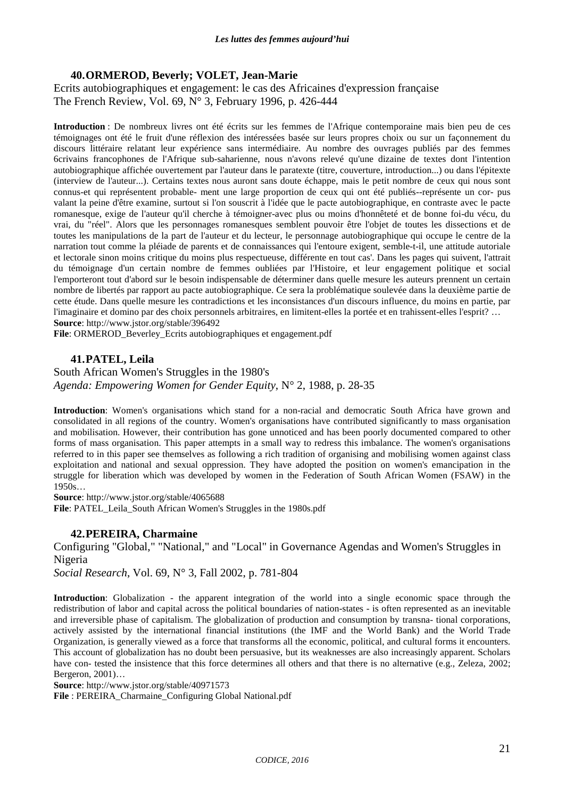## **40.ORMEROD, Beverly; VOLET, Jean-Marie**

Ecrits autobiographiques et engagement: le cas des Africaines d'expression française The French Review, Vol. 69, N° 3, February 1996, p. 426-444

**Introduction** : De nombreux livres ont été écrits sur les femmes de l'Afrique contemporaine mais bien peu de ces témoignages ont été le fruit d'une réflexion des intéressées basée sur leurs propres choix ou sur un façonnement du discours littéraire relatant leur expérience sans intermédiaire. Au nombre des ouvrages publiés par des femmes 6crivains francophones de l'Afrique sub-saharienne, nous n'avons relevé qu'une dizaine de textes dont l'intention autobiographique affichée ouvertement par l'auteur dans le paratexte (titre, couverture, introduction...) ou dans l'épitexte (interview de l'auteur...). Certains textes nous auront sans doute échappe, mais le petit nombre de ceux qui nous sont connus-et qui représentent probable- ment une large proportion de ceux qui ont été publiés--représente un cor- pus valant la peine d'être examine, surtout si l'on souscrit à l'idée que le pacte autobiographique, en contraste avec le pacte romanesque, exige de l'auteur qu'il cherche à témoigner-avec plus ou moins d'honnêteté et de bonne foi-du vécu, du vrai, du "réel". Alors que les personnages romanesques semblent pouvoir être l'objet de toutes les dissections et de toutes les manipulations de la part de l'auteur et du lecteur, le personnage autobiographique qui occupe le centre de la narration tout comme la pléiade de parents et de connaissances qui l'entoure exigent, semble-t-il, une attitude autoriale et lectorale sinon moins critique du moins plus respectueuse, différente en tout cas'. Dans les pages qui suivent, l'attrait du témoignage d'un certain nombre de femmes oubliées par l'Histoire, et leur engagement politique et social l'emporteront tout d'abord sur le besoin indispensable de déterminer dans quelle mesure les auteurs prennent un certain nombre de libertés par rapport au pacte autobiographique. Ce sera la problématique soulevée dans la deuxième partie de cette étude. Dans quelle mesure les contradictions et les inconsistances d'un discours influence, du moins en partie, par l'imaginaire et domino par des choix personnels arbitraires, en limitent-elles la portée et en trahissent-elles l'esprit? … **Source**: http://www.jstor.org/stable/396492

**File**: ORMEROD\_Beverley\_Ecrits autobiographiques et engagement.pdf

## **41.PATEL, Leila**

South African Women's Struggles in the 1980's *Agenda: Empowering Women for Gender Equity*, N° 2, 1988, p. 28-35

**Introduction**: Women's organisations which stand for a non-racial and democratic South Africa have grown and consolidated in all regions of the country. Women's organisations have contributed significantly to mass organisation and mobilisation. However, their contribution has gone unnoticed and has been poorly documented compared to other forms of mass organisation. This paper attempts in a small way to redress this imbalance. The women's organisations referred to in this paper see themselves as following a rich tradition of organising and mobilising women against class exploitation and national and sexual oppression. They have adopted the position on women's emancipation in the struggle for liberation which was developed by women in the Federation of South African Women (FSAW) in the 1950s…

**Source**: http://www.jstor.org/stable/4065688

**File**: PATEL\_Leila\_South African Women's Struggles in the 1980s.pdf

#### **42.PEREIRA, Charmaine**

Configuring "Global," "National," and "Local" in Governance Agendas and Women's Struggles in Nigeria

*Social Research*, Vol. 69, N° 3, Fall 2002, p. 781-804

**Introduction**: Globalization - the apparent integration of the world into a single economic space through the redistribution of labor and capital across the political boundaries of nation-states - is often represented as an inevitable and irreversible phase of capitalism. The globalization of production and consumption by transna- tional corporations, actively assisted by the international financial institutions (the IMF and the World Bank) and the World Trade Organization, is generally viewed as a force that transforms all the economic, political, and cultural forms it encounters. This account of globalization has no doubt been persuasive, but its weaknesses are also increasingly apparent. Scholars have con- tested the insistence that this force determines all others and that there is no alternative (e.g., Zeleza, 2002; Bergeron, 2001)…

**Source**: http://www.jstor.org/stable/40971573

**File** : PEREIRA\_Charmaine\_Configuring Global National.pdf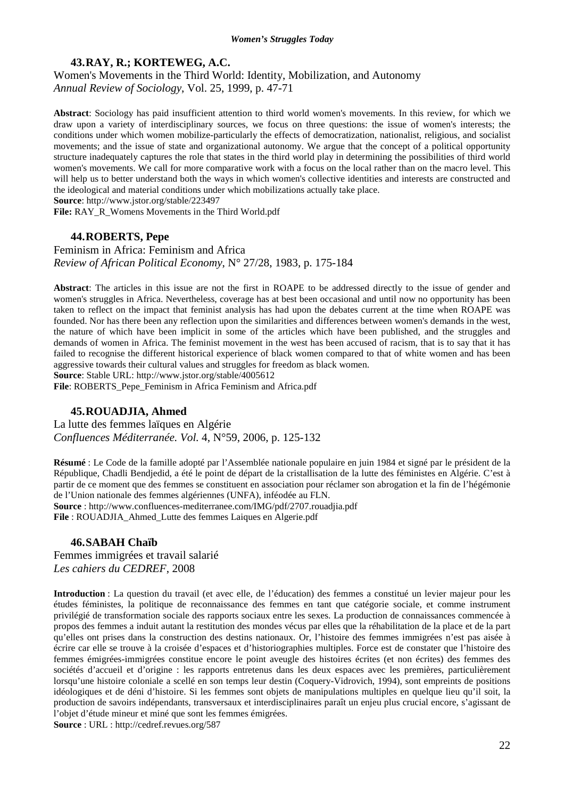#### **43.RAY, R.; KORTEWEG, A.C.**

Women's Movements in the Third World: Identity, Mobilization, and Autonomy *Annual Review of Sociology*, Vol. 25, 1999, p. 47-71

**Abstract**: Sociology has paid insufficient attention to third world women's movements. In this review, for which we draw upon a variety of interdisciplinary sources, we focus on three questions: the issue of women's interests; the conditions under which women mobilize-particularly the effects of democratization, nationalist, religious, and socialist movements; and the issue of state and organizational autonomy. We argue that the concept of a political opportunity structure inadequately captures the role that states in the third world play in determining the possibilities of third world women's movements. We call for more comparative work with a focus on the local rather than on the macro level. This will help us to better understand both the ways in which women's collective identities and interests are constructed and the ideological and material conditions under which mobilizations actually take place.

**Source**: http://www.jstor.org/stable/223497

**File:** RAY\_R\_Womens Movements in the Third World.pdf

#### **44.ROBERTS, Pepe**

Feminism in Africa: Feminism and Africa *Review of African Political Economy*, N° 27/28, 1983, p. 175-184

**Abstract**: The articles in this issue are not the first in ROAPE to be addressed directly to the issue of gender and women's struggles in Africa. Nevertheless, coverage has at best been occasional and until now no opportunity has been taken to reflect on the impact that feminist analysis has had upon the debates current at the time when ROAPE was founded. Nor has there been any reflection upon the similarities and differences between women's demands in the west, the nature of which have been implicit in some of the articles which have been published, and the struggles and demands of women in Africa. The feminist movement in the west has been accused of racism, that is to say that it has failed to recognise the different historical experience of black women compared to that of white women and has been aggressive towards their cultural values and struggles for freedom as black women.

**Source**: Stable URL: http://www.jstor.org/stable/4005612

**File**: ROBERTS\_Pepe\_Feminism in Africa Feminism and Africa.pdf

#### **45.ROUADJIA, Ahmed**

La lutte des femmes laïques en Algérie *Confluences Méditerranée. Vol.* 4, N°59, 2006, p. 125-132

**Résumé** : Le Code de la famille adopté par l'Assemblée nationale populaire en juin 1984 et signé par le président de la République, Chadli Bendjedid, a été le point de départ de la cristallisation de la lutte des féministes en Algérie. C'est à partir de ce moment que des femmes se constituent en association pour réclamer son abrogation et la fin de l'hégémonie de l'Union nationale des femmes algériennes (UNFA), inféodée au FLN.

**Source** : http://www.confluences-mediterranee.com/IMG/pdf/2707.rouadjia.pdf **File** : ROUADJIA\_Ahmed\_Lutte des femmes Laiques en Algerie.pdf

#### **46.SABAH Chaïb**

Femmes immigrées et travail salarié *Les cahiers du CEDREF*, 2008

**Introduction** : La question du travail (et avec elle, de l'éducation) des femmes a constitué un levier majeur pour les études féministes, la politique de reconnaissance des femmes en tant que catégorie sociale, et comme instrument privilégié de transformation sociale des rapports sociaux entre les sexes. La production de connaissances commencée à propos des femmes a induit autant la restitution des mondes vécus par elles que la réhabilitation de la place et de la part qu'elles ont prises dans la construction des destins nationaux. Or, l'histoire des femmes immigrées n'est pas aisée à écrire car elle se trouve à la croisée d'espaces et d'historiographies multiples. Force est de constater que l'histoire des femmes émigrées-immigrées constitue encore le point aveugle des histoires écrites (et non écrites) des femmes des sociétés d'accueil et d'origine : les rapports entretenus dans les deux espaces avec les premières, particulièrement lorsqu'une histoire coloniale a scellé en son temps leur destin (Coquery-Vidrovich, 1994), sont empreints de positions idéologiques et de déni d'histoire. Si les femmes sont objets de manipulations multiples en quelque lieu qu'il soit, la production de savoirs indépendants, transversaux et interdisciplinaires paraît un enjeu plus crucial encore, s'agissant de l'objet d'étude mineur et miné que sont les femmes émigrées. **Source** : URL : http://cedref.revues.org/587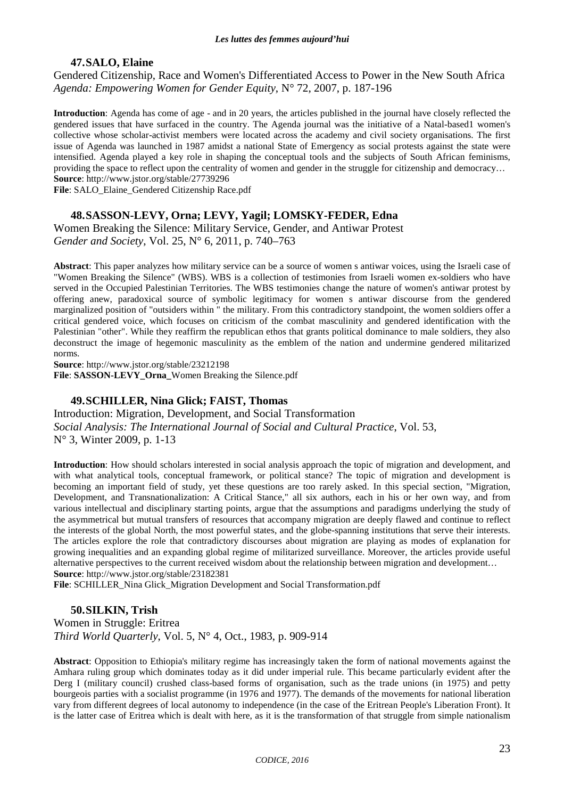## **47.SALO, Elaine**

Gendered Citizenship, Race and Women's Differentiated Access to Power in the New South Africa *Agenda: Empowering Women for Gender Equity*, N° 72, 2007, p. 187-196

**Introduction**: Agenda has come of age - and in 20 years, the articles published in the journal have closely reflected the gendered issues that have surfaced in the country. The Agenda journal was the initiative of a Natal-based1 women's collective whose scholar-activist members were located across the academy and civil society organisations. The first issue of Agenda was launched in 1987 amidst a national State of Emergency as social protests against the state were intensified. Agenda played a key role in shaping the conceptual tools and the subjects of South African feminisms, providing the space to reflect upon the centrality of women and gender in the struggle for citizenship and democracy… **Source**: http://www.jstor.org/stable/27739296

**File**: SALO\_Elaine\_Gendered Citizenship Race.pdf

## **48.SASSON-LEVY, Orna; LEVY, Yagil; LOMSKY-FEDER, Edna**

Women Breaking the Silence: Military Service, Gender, and Antiwar Protest *Gender and Society*, Vol. 25, N° 6, 2011, p. 740–763

**Abstract**: This paper analyzes how military service can be a source of women s antiwar voices, using the Israeli case of "Women Breaking the Silence" (WBS). WBS is a collection of testimonies from Israeli women ex-soldiers who have served in the Occupied Palestinian Territories. The WBS testimonies change the nature of women's antiwar protest by offering anew, paradoxical source of symbolic legitimacy for women s antiwar discourse from the gendered marginalized position of "outsiders within " the military. From this contradictory standpoint, the women soldiers offer a critical gendered voice, which focuses on criticism of the combat masculinity and gendered identification with the Palestinian "other". While they reaffirm the republican ethos that grants political dominance to male soldiers, they also deconstruct the image of hegemonic masculinity as the emblem of the nation and undermine gendered militarized norms.

**Source**: http://www.jstor.org/stable/23212198 **File**: **SASSON-LEVY\_Orna\_**Women Breaking the Silence.pdf

## **49.SCHILLER, Nina Glick; FAIST, Thomas**

Introduction: Migration, Development, and Social Transformation *Social Analysis: The International Journal of Social and Cultural Practice*, Vol. 53, N° 3, Winter 2009, p. 1-13

**Introduction**: How should scholars interested in social analysis approach the topic of migration and development, and with what analytical tools, conceptual framework, or political stance? The topic of migration and development is becoming an important field of study, yet these questions are too rarely asked. In this special section, "Migration, Development, and Transnationalization: A Critical Stance," all six authors, each in his or her own way, and from various intellectual and disciplinary starting points, argue that the assumptions and paradigms underlying the study of the asymmetrical but mutual transfers of resources that accompany migration are deeply flawed and continue to reflect the interests of the global North, the most powerful states, and the globe-spanning institutions that serve their interests. The articles explore the role that contradictory discourses about migration are playing as modes of explanation for growing inequalities and an expanding global regime of militarized surveillance. Moreover, the articles provide useful alternative perspectives to the current received wisdom about the relationship between migration and development… **Source**: http://www.jstor.org/stable/23182381

**File**: SCHILLER\_Nina Glick\_Migration Development and Social Transformation.pdf

#### **50.SILKIN, Trish**

Women in Struggle: Eritrea *Third World Quarterly*, Vol. 5, N° 4, Oct., 1983, p. 909-914

**Abstract**: Opposition to Ethiopia's military regime has increasingly taken the form of national movements against the Amhara ruling group which dominates today as it did under imperial rule. This became particularly evident after the Derg I (military council) crushed class-based forms of organisation, such as the trade unions (in 1975) and petty bourgeois parties with a socialist programme (in 1976 and 1977). The demands of the movements for national liberation vary from different degrees of local autonomy to independence (in the case of the Eritrean People's Liberation Front). It is the latter case of Eritrea which is dealt with here, as it is the transformation of that struggle from simple nationalism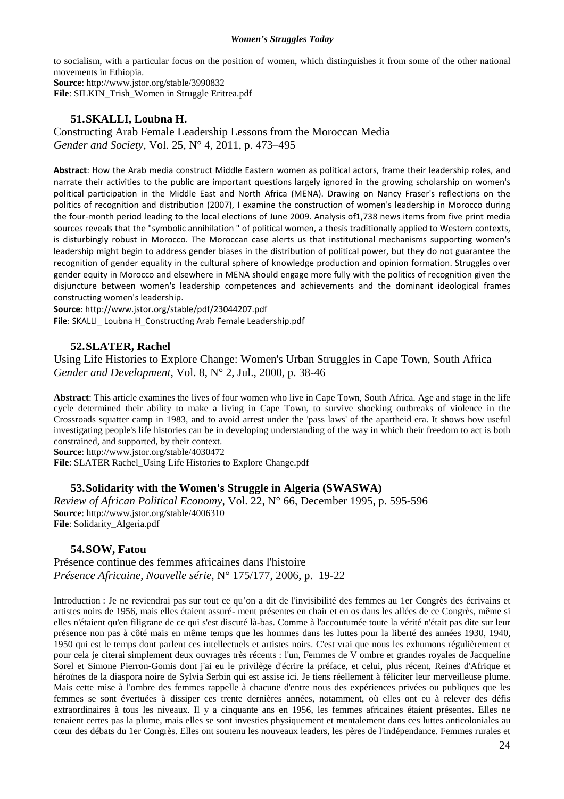to socialism, with a particular focus on the position of women, which distinguishes it from some of the other national movements in Ethiopia.

**Source**: http://www.jstor.org/stable/3990832 **File**: SILKIN\_Trish\_Women in Struggle Eritrea.pdf

## **51.SKALLI, Loubna H.**

Constructing Arab Female Leadership Lessons from the Moroccan Media *Gender and Society*, Vol. 25, N° 4, 2011, p. 473–495

Abstract: How the Arab media construct Middle Eastern women as political actors, frame their leadership roles, and narrate their activities to the public are important questions largely ignored in the growing scholarship on women's political participation in the Middle East and North Africa (MENA). Drawing on Nancy Fraser's reflections on the politics of recognition and distribution (2007), I examine the construction of women's leadership in Morocco during the four-month period leading to the local elections of June 2009. Analysis of1,738 news items from five print media sources reveals that the "symbolic annihilation " of political women, a thesis traditionally applied to Western contexts, is disturbingly robust in Morocco. The Moroccan case alerts us that institutional mechanisms supporting women's leadership might begin to address gender biases in the distribution of political power, but they do not guarantee the recognition of gender equality in the cultural sphere of knowledge production and opinion formation. Struggles over gender equity in Morocco and elsewhere in MENA should engage more fully with the politics of recognition given the disjuncture between women's leadership competences and achievements and the dominant ideological frames constructing women's leadership.

Source: http://www.jstor.org/stable/pdf/23044207.pdf File: SKALLI\_ Loubna H\_Constructing Arab Female Leadership.pdf

## **52.SLATER, Rachel**

Using Life Histories to Explore Change: Women's Urban Struggles in Cape Town, South Africa *Gender and Development*, Vol. 8, N° 2, Jul., 2000, p. 38-46

**Abstract**: This article examines the lives of four women who live in Cape Town, South Africa. Age and stage in the life cycle determined their ability to make a living in Cape Town, to survive shocking outbreaks of violence in the Crossroads squatter camp in 1983, and to avoid arrest under the 'pass laws' of the apartheid era. It shows how useful investigating people's life histories can be in developing understanding of the way in which their freedom to act is both constrained, and supported, by their context.

**Source**: http://www.jstor.org/stable/4030472

**File**: SLATER Rachel\_Using Life Histories to Explore Change.pdf

#### **53.Solidarity with the Women's Struggle in Algeria (SWASWA)**

*Review of African Political Economy*, Vol. 22, N° 66, December 1995, p. 595-596 **Source**: http://www.jstor.org/stable/4006310 **File**: Solidarity\_Algeria.pdf

## **54.SOW, Fatou**

Présence continue des femmes africaines dans l'histoire *Présence Africaine, Nouvelle série*, N° 175/177, 2006, p. 19-22

Introduction : Je ne reviendrai pas sur tout ce qu'on a dit de l'invisibilité des femmes au 1er Congrès des écrivains et artistes noirs de 1956, mais elles étaient assuré- ment présentes en chair et en os dans les allées de ce Congrès, même si elles n'étaient qu'en filigrane de ce qui s'est discuté là-bas. Comme à l'accoutumée toute la vérité n'était pas dite sur leur présence non pas à côté mais en même temps que les hommes dans les luttes pour la liberté des années 1930, 1940, 1950 qui est le temps dont parlent ces intellectuels et artistes noirs. C'est vrai que nous les exhumons régulièrement et pour cela je citerai simplement deux ouvrages très récents : l'un, Femmes de V ombre et grandes royales de Jacqueline Sorel et Simone Pierron-Gomis dont j'ai eu le privilège d'écrire la préface, et celui, plus récent, Reines d'Afrique et héroïnes de la diaspora noire de Sylvia Serbin qui est assise ici. Je tiens réellement à féliciter leur merveilleuse plume. Mais cette mise à l'ombre des femmes rappelle à chacune d'entre nous des expériences privées ou publiques que les femmes se sont évertuées à dissiper ces trente dernières années, notamment, où elles ont eu à relever des défis extraordinaires à tous les niveaux. Il y a cinquante ans en 1956, les femmes africaines étaient présentes. Elles ne tenaient certes pas la plume, mais elles se sont investies physiquement et mentalement dans ces luttes anticoloniales au cœur des débats du 1er Congrès. Elles ont soutenu les nouveaux leaders, les pères de l'indépendance. Femmes rurales et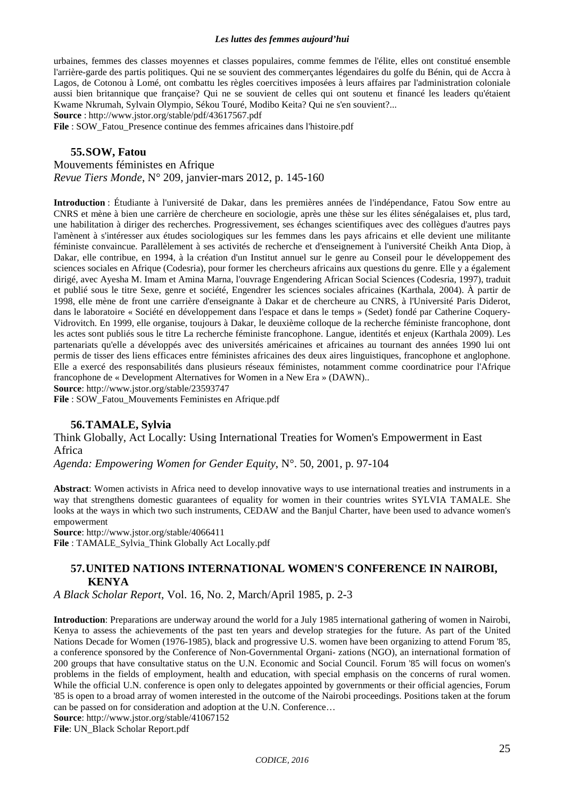#### *Les luttes des femmes aujourd'hui*

urbaines, femmes des classes moyennes et classes populaires, comme femmes de l'élite, elles ont constitué ensemble l'arrière-garde des partis politiques. Qui ne se souvient des commerçantes légendaires du golfe du Bénin, qui de Accra à Lagos, de Cotonou à Lomé, ont combattu les règles coercitives imposées à leurs affaires par l'administration coloniale aussi bien britannique que française? Qui ne se souvient de celles qui ont soutenu et financé les leaders qu'étaient Kwame Nkrumah, Sylvain Olympio, Sékou Touré, Modibo Keita? Qui ne s'en souvient?...

**Source** : http://www.jstor.org/stable/pdf/43617567.pdf

**File** : SOW\_Fatou\_Presence continue des femmes africaines dans l'histoire.pdf

## **55.SOW, Fatou**

Mouvements féministes en Afrique *Revue Tiers Monde*, N° 209, janvier-mars 2012, p. 145-160

**Introduction** : Étudiante à l'université de Dakar, dans les premières années de l'indépendance, Fatou Sow entre au CNRS et mène à bien une carrière de chercheure en sociologie, après une thèse sur les élites sénégalaises et, plus tard, une habilitation à diriger des recherches. Progressivement, ses échanges scientifiques avec des collègues d'autres pays l'amènent à s'intéresser aux études sociologiques sur les femmes dans les pays africains et elle devient une militante féministe convaincue. Parallèlement à ses activités de recherche et d'enseignement à l'université Cheikh Anta Diop, à Dakar, elle contribue, en 1994, à la création d'un Institut annuel sur le genre au Conseil pour le développement des sciences sociales en Afrique (Codesria), pour former les chercheurs africains aux questions du genre. Elle y a également dirigé, avec Ayesha M. Imam et Amina Marna, l'ouvrage Engendering African Social Sciences (Codesria, 1997), traduit et publié sous le titre Sexe, genre et société, Engendrer les sciences sociales africaines (Karthala, 2004). À partir de 1998, elle mène de front une carrière d'enseignante à Dakar et de chercheure au CNRS, à l'Université Paris Diderot, dans le laboratoire « Société en développement dans l'espace et dans le temps » (Sedet) fondé par Catherine Coquery-Vidrovitch. En 1999, elle organise, toujours à Dakar, le deuxième colloque de la recherche féministe francophone, dont les actes sont publiés sous le titre La recherche féministe francophone. Langue, identités et enjeux (Karthala 2009). Les partenariats qu'elle a développés avec des universités américaines et africaines au tournant des années 1990 lui ont permis de tisser des liens efficaces entre féministes africaines des deux aires linguistiques, francophone et anglophone. Elle a exercé des responsabilités dans plusieurs réseaux féministes, notamment comme coordinatrice pour l'Afrique francophone de « Development Alternatives for Women in a New Era » (DAWN)..

**Source**: http://www.jstor.org/stable/23593747

**File** : SOW\_Fatou\_Mouvements Feministes en Afrique.pdf

## **56.TAMALE, Sylvia**

Think Globally, Act Locally: Using International Treaties for Women's Empowerment in East Africa

*Agenda: Empowering Women for Gender Equity*, N°. 50, 2001, p. 97-104

**Abstract**: Women activists in Africa need to develop innovative ways to use international treaties and instruments in a way that strengthens domestic guarantees of equality for women in their countries writes SYLVIA TAMALE. She looks at the ways in which two such instruments, CEDAW and the Banjul Charter, have been used to advance women's empowerment

**Source**: http://www.jstor.org/stable/4066411

**File** : TAMALE\_Sylvia\_Think Globally Act Locally.pdf

## **57.UNITED NATIONS INTERNATIONAL WOMEN'S CONFERENCE IN NAIROBI, KENYA**

*A Black Scholar Report*, Vol. 16, No. 2, March/April 1985, p. 2-3

**Introduction**: Preparations are underway around the world for a July 1985 international gathering of women in Nairobi, Kenya to assess the achievements of the past ten years and develop strategies for the future. As part of the United Nations Decade for Women (1976-1985), black and progressive U.S. women have been organizing to attend Forum '85, a conference sponsored by the Conference of Non-Governmental Organi- zations (NGO), an international formation of 200 groups that have consultative status on the U.N. Economic and Social Council. Forum '85 will focus on women's problems in the fields of employment, health and education, with special emphasis on the concerns of rural women. While the official U.N. conference is open only to delegates appointed by governments or their official agencies, Forum '85 is open to a broad array of women interested in the outcome of the Nairobi proceedings. Positions taken at the forum can be passed on for consideration and adoption at the U.N. Conference…

**Source**: http://www.jstor.org/stable/41067152 **File**: UN\_Black Scholar Report.pdf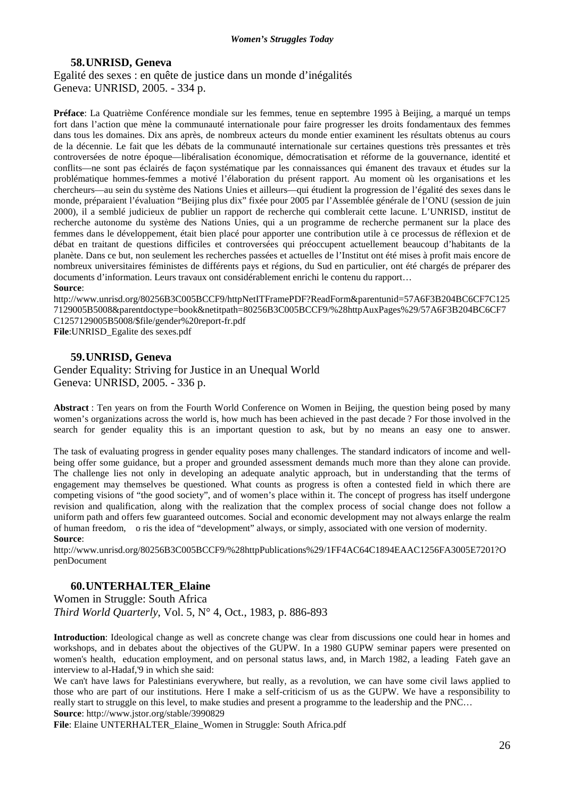#### **58.UNRISD, Geneva**

Egalité des sexes : en quête de justice dans un monde d'inégalités Geneva: UNRISD, 2005. - 334 p.

**Préface**: La Quatrième Conférence mondiale sur les femmes, tenue en septembre 1995 à Beijing, a marqué un temps fort dans l'action que mène la communauté internationale pour faire progresser les droits fondamentaux des femmes dans tous les domaines. Dix ans après, de nombreux acteurs du monde entier examinent les résultats obtenus au cours de la décennie. Le fait que les débats de la communauté internationale sur certaines questions très pressantes et très controversées de notre époque—libéralisation économique, démocratisation et réforme de la gouvernance, identité et conflits—ne sont pas éclairés de façon systématique par les connaissances qui émanent des travaux et études sur la problématique hommes-femmes a motivé l'élaboration du présent rapport. Au moment où les organisations et les chercheurs—au sein du système des Nations Unies et ailleurs—qui étudient la progression de l'égalité des sexes dans le monde, préparaient l'évaluation "Beijing plus dix" fixée pour 2005 par l'Assemblée générale de l'ONU (session de juin 2000), il a semblé judicieux de publier un rapport de recherche qui comblerait cette lacune. L'UNRISD, institut de recherche autonome du système des Nations Unies, qui a un programme de recherche permanent sur la place des femmes dans le développement, était bien placé pour apporter une contribution utile à ce processus de réflexion et de débat en traitant de questions difficiles et controversées qui préoccupent actuellement beaucoup d'habitants de la planète. Dans ce but, non seulement les recherches passées et actuelles de l'Institut ont été mises à profit mais encore de nombreux universitaires féministes de différents pays et régions, du Sud en particulier, ont été chargés de préparer des documents d'information. Leurs travaux ont considérablement enrichi le contenu du rapport… **Source**:

http://www.unrisd.org/80256B3C005BCCF9/httpNetITFramePDF?ReadForm&parentunid=57A6F3B204BC6CF7C125 7129005B5008&parentdoctype=book&netitpath=80256B3C005BCCF9/%28httpAuxPages%29/57A6F3B204BC6CF7 C1257129005B5008/\$file/gender%20report-fr.pdf

**File**:UNRISD\_Egalite des sexes.pdf

## **59.UNRISD, Geneva**

Gender Equality: Striving for Justice in an Unequal World Geneva: UNRISD, 2005. - 336 p.

**Abstract** : Ten years on from the Fourth World Conference on Women in Beijing, the question being posed by many women's organizations across the world is, how much has been achieved in the past decade ? For those involved in the search for gender equality this is an important question to ask, but by no means an easy one to answer.

The task of evaluating progress in gender equality poses many challenges. The standard indicators of income and wellbeing offer some guidance, but a proper and grounded assessment demands much more than they alone can provide. The challenge lies not only in developing an adequate analytic approach, but in understanding that the terms of engagement may themselves be questioned. What counts as progress is often a contested field in which there are competing visions of "the good society", and of women's place within it. The concept of progress has itself undergone revision and qualification, along with the realization that the complex process of social change does not follow a uniform path and offers few guaranteed outcomes. Social and economic development may not always enlarge the realm of human freedom, o ris the idea of "development" always, or simply, associated with one version of modernity. **Source**:

http://www.unrisd.org/80256B3C005BCCF9/%28httpPublications%29/1FF4AC64C1894EAAC1256FA3005E7201?O penDocument

## **60.UNTERHALTER\_Elaine**

Women in Struggle: South Africa *Third World Quarterly*, Vol. 5, N° 4, Oct., 1983, p. 886-893

**Introduction**: Ideological change as well as concrete change was clear from discussions one could hear in homes and workshops, and in debates about the objectives of the GUPW. In a 1980 GUPW seminar papers were presented on women's health, education employment, and on personal status laws, and, in March 1982, a leading Fateh gave an interview to al-Hadaf,'9 in which she said:

We can't have laws for Palestinians everywhere, but really, as a revolution, we can have some civil laws applied to those who are part of our institutions. Here I make a self-criticism of us as the GUPW. We have a responsibility to really start to struggle on this level, to make studies and present a programme to the leadership and the PNC… **Source**: http://www.jstor.org/stable/3990829

**File**: Elaine UNTERHALTER\_Elaine\_Women in Struggle: South Africa.pdf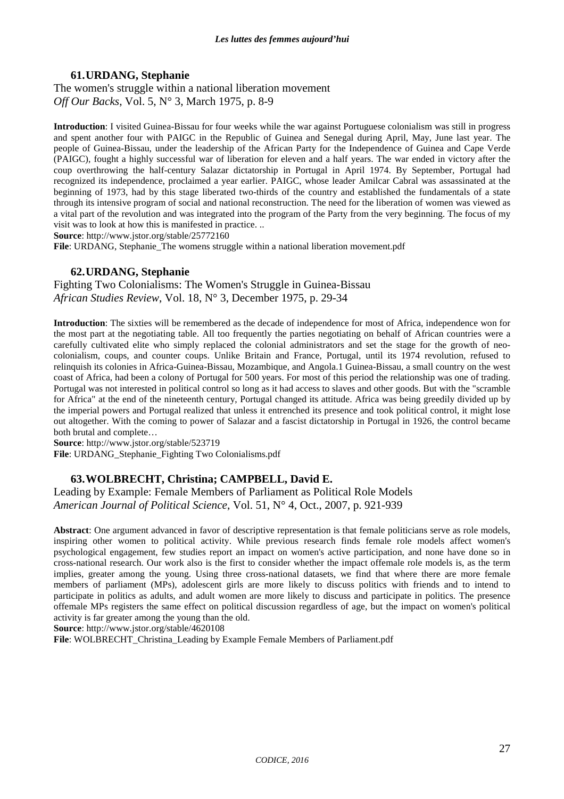## **61.URDANG, Stephanie**

The women's struggle within a national liberation movement *Off Our Backs*, Vol. 5, N° 3, March 1975, p. 8-9

**Introduction**: I visited Guinea-Bissau for four weeks while the war against Portuguese colonialism was still in progress and spent another four with PAIGC in the Republic of Guinea and Senegal during April, May, June last year. The people of Guinea-Bissau, under the leadership of the African Party for the Independence of Guinea and Cape Verde (PAIGC), fought a highly successful war of liberation for eleven and a half years. The war ended in victory after the coup overthrowing the half-century Salazar dictatorship in Portugal in April 1974. By September, Portugal had recognized its independence, proclaimed a year earlier. PAIGC, whose leader Amilcar Cabral was assassinated at the beginning of 1973, had by this stage liberated two-thirds of the country and established the fundamentals of a state through its intensive program of social and national reconstruction. The need for the liberation of women was viewed as a vital part of the revolution and was integrated into the program of the Party from the very beginning. The focus of my visit was to look at how this is manifested in practice. ..

**Source**: http://www.jstor.org/stable/25772160

**File**: URDANG, Stephanie\_The womens struggle within a national liberation movement.pdf

## **62.URDANG, Stephanie**

Fighting Two Colonialisms: The Women's Struggle in Guinea-Bissau *African Studies Review*, Vol. 18, N° 3, December 1975, p. 29-34

**Introduction**: The sixties will be remembered as the decade of independence for most of Africa, independence won for the most part at the negotiating table. All too frequently the parties negotiating on behalf of African countries were a carefully cultivated elite who simply replaced the colonial administrators and set the stage for the growth of neocolonialism, coups, and counter coups. Unlike Britain and France, Portugal, until its 1974 revolution, refused to relinquish its colonies in Africa-Guinea-Bissau, Mozambique, and Angola.1 Guinea-Bissau, a small country on the west coast of Africa, had been a colony of Portugal for 500 years. For most of this period the relationship was one of trading. Portugal was not interested in political control so long as it had access to slaves and other goods. But with the "scramble for Africa" at the end of the nineteenth century, Portugal changed its attitude. Africa was being greedily divided up by the imperial powers and Portugal realized that unless it entrenched its presence and took political control, it might lose out altogether. With the coming to power of Salazar and a fascist dictatorship in Portugal in 1926, the control became both brutal and complete…

**Source**: http://www.jstor.org/stable/523719

**File**: URDANG\_Stephanie\_Fighting Two Colonialisms.pdf

## **63.WOLBRECHT, Christina; CAMPBELL, David E.**

Leading by Example: Female Members of Parliament as Political Role Models *American Journal of Political Science*, Vol. 51, N° 4, Oct., 2007, p. 921-939

**Abstract**: One argument advanced in favor of descriptive representation is that female politicians serve as role models, inspiring other women to political activity. While previous research finds female role models affect women's psychological engagement, few studies report an impact on women's active participation, and none have done so in cross-national research. Our work also is the first to consider whether the impact offemale role models is, as the term implies, greater among the young. Using three cross-national datasets, we find that where there are more female members of parliament (MPs), adolescent girls are more likely to discuss politics with friends and to intend to participate in politics as adults, and adult women are more likely to discuss and participate in politics. The presence offemale MPs registers the same effect on political discussion regardless of age, but the impact on women's political activity is far greater among the young than the old.

**Source**: http://www.jstor.org/stable/4620108

**File**: WOLBRECHT\_Christina\_Leading by Example Female Members of Parliament.pdf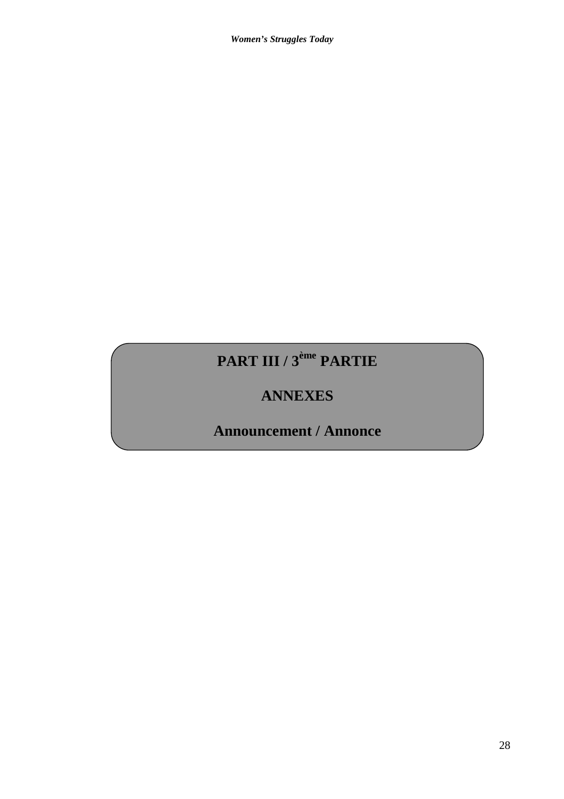# **PART III / 3ème PARTIE**

## **ANNEXES**

# **Announcement / Annonce**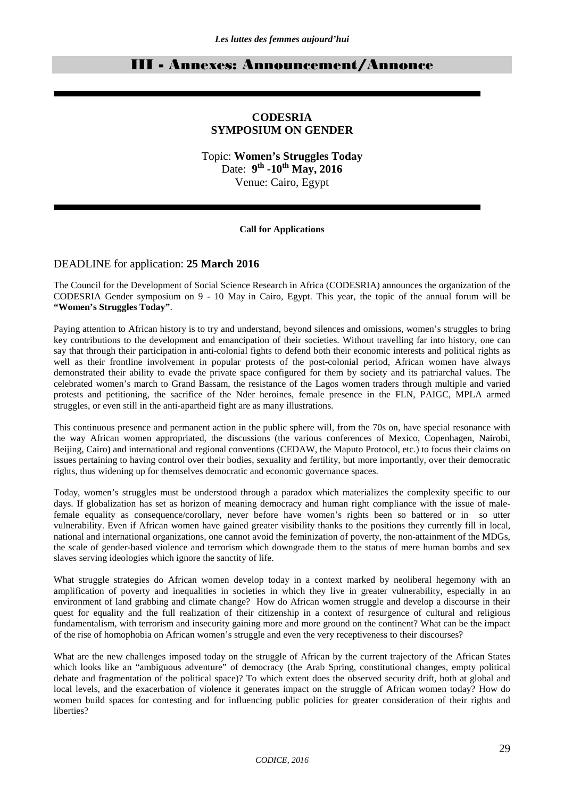## III - Annexes: Announcement/Annonce

## **CODESRIA SYMPOSIUM ON GENDER**

Topic: **Women's Struggles Today** Date: **9th -10th May, 2016** Venue: Cairo, Egypt

#### **Call for Applications**

#### DEADLINE for application: **25 March 2016**

The Council for the Development of Social Science Research in Africa (CODESRIA) announces the organization of the CODESRIA Gender symposium on 9 - 10 May in Cairo, Egypt. This year, the topic of the annual forum will be **"Women's Struggles Today"**.

Paying attention to African history is to try and understand, beyond silences and omissions, women's struggles to bring key contributions to the development and emancipation of their societies. Without travelling far into history, one can say that through their participation in anti-colonial fights to defend both their economic interests and political rights as well as their frontline involvement in popular protests of the post-colonial period, African women have always demonstrated their ability to evade the private space configured for them by society and its patriarchal values. The celebrated women's march to Grand Bassam, the resistance of the Lagos women traders through multiple and varied protests and petitioning, the sacrifice of the Nder heroines, female presence in the FLN, PAIGC, MPLA armed struggles, or even still in the anti-apartheid fight are as many illustrations.

This continuous presence and permanent action in the public sphere will, from the 70s on, have special resonance with the way African women appropriated, the discussions (the various conferences of Mexico, Copenhagen, Nairobi, Beijing, Cairo) and international and regional conventions (CEDAW, the Maputo Protocol, etc.) to focus their claims on issues pertaining to having control over their bodies, sexuality and fertility, but more importantly, over their democratic rights, thus widening up for themselves democratic and economic governance spaces.

Today, women's struggles must be understood through a paradox which materializes the complexity specific to our days. If globalization has set as horizon of meaning democracy and human right compliance with the issue of malefemale equality as consequence/corollary, never before have women's rights been so battered or in so utter vulnerability. Even if African women have gained greater visibility thanks to the positions they currently fill in local, national and international organizations, one cannot avoid the feminization of poverty, the non-attainment of the MDGs, the scale of gender-based violence and terrorism which downgrade them to the status of mere human bombs and sex slaves serving ideologies which ignore the sanctity of life.

What struggle strategies do African women develop today in a context marked by neoliberal hegemony with an amplification of poverty and inequalities in societies in which they live in greater vulnerability, especially in an environment of land grabbing and climate change? How do African women struggle and develop a discourse in their quest for equality and the full realization of their citizenship in a context of resurgence of cultural and religious fundamentalism, with terrorism and insecurity gaining more and more ground on the continent? What can be the impact of the rise of homophobia on African women's struggle and even the very receptiveness to their discourses?

What are the new challenges imposed today on the struggle of African by the current trajectory of the African States which looks like an "ambiguous adventure" of democracy (the Arab Spring, constitutional changes, empty political debate and fragmentation of the political space)? To which extent does the observed security drift, both at global and local levels, and the exacerbation of violence it generates impact on the struggle of African women today? How do women build spaces for contesting and for influencing public policies for greater consideration of their rights and liberties?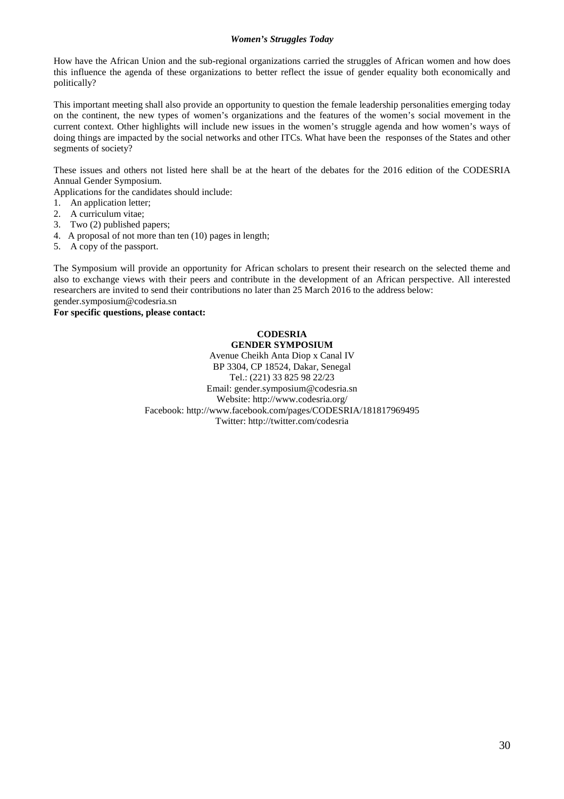How have the African Union and the sub-regional organizations carried the struggles of African women and how does this influence the agenda of these organizations to better reflect the issue of gender equality both economically and politically?

This important meeting shall also provide an opportunity to question the female leadership personalities emerging today on the continent, the new types of women's organizations and the features of the women's social movement in the current context. Other highlights will include new issues in the women's struggle agenda and how women's ways of doing things are impacted by the social networks and other ITCs. What have been the responses of the States and other segments of society?

These issues and others not listed here shall be at the heart of the debates for the 2016 edition of the CODESRIA Annual Gender Symposium.

Applications for the candidates should include:

- 1. An application letter;
- 2. A curriculum vitae;
- 3. Two (2) published papers;
- 4. A proposal of not more than ten (10) pages in length;
- 5. A copy of the passport.

The Symposium will provide an opportunity for African scholars to present their research on the selected theme and also to exchange views with their peers and contribute in the development of an African perspective. All interested researchers are invited to send their contributions no later than 25 March 2016 to the address below: gender.symposium@codesria.sn

**For specific questions, please contact:** 

#### **CODESRIA GENDER SYMPOSIUM**

Avenue Cheikh Anta Diop x Canal IV BP 3304, CP 18524, Dakar, Senegal Tel.: (221) 33 825 98 22/23 Email: gender.symposium@codesria.sn Website: http://www.codesria.org/ Facebook: http://www.facebook.com/pages/CODESRIA/181817969495 Twitter: http://twitter.com/codesria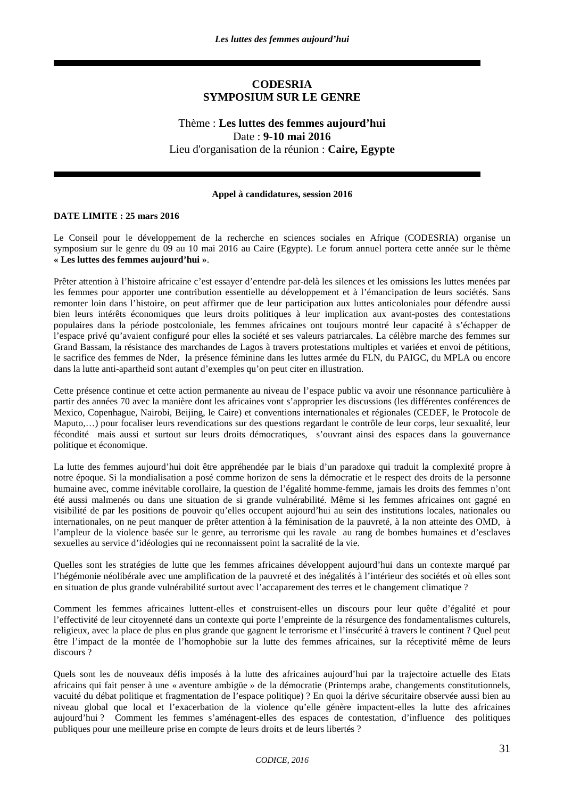## **CODESRIA SYMPOSIUM SUR LE GENRE**

## Thème : **Les luttes des femmes aujourd'hui**  Date : **9-10 mai 2016** Lieu d'organisation de la réunion : **Caire, Egypte**

#### **Appel à candidatures, session 2016**

#### **DATE LIMITE : 25 mars 2016**

Le Conseil pour le développement de la recherche en sciences sociales en Afrique (CODESRIA) organise un symposium sur le genre du 09 au 10 mai 2016 au Caire (Egypte). Le forum annuel portera cette année sur le thème **« Les luttes des femmes aujourd'hui »**.

Prêter attention à l'histoire africaine c'est essayer d'entendre par-delà les silences et les omissions les luttes menées par les femmes pour apporter une contribution essentielle au développement et à l'émancipation de leurs sociétés. Sans remonter loin dans l'histoire, on peut affirmer que de leur participation aux luttes anticoloniales pour défendre aussi bien leurs intérêts économiques que leurs droits politiques à leur implication aux avant-postes des contestations populaires dans la période postcoloniale, les femmes africaines ont toujours montré leur capacité à s'échapper de l'espace privé qu'avaient configuré pour elles la société et ses valeurs patriarcales. La célèbre marche des femmes sur Grand Bassam, la résistance des marchandes de Lagos à travers protestations multiples et variées et envoi de pétitions, le sacrifice des femmes de Nder, la présence féminine dans les luttes armée du FLN, du PAIGC, du MPLA ou encore dans la lutte anti-apartheid sont autant d'exemples qu'on peut citer en illustration.

Cette présence continue et cette action permanente au niveau de l'espace public va avoir une résonnance particulière à partir des années 70 avec la manière dont les africaines vont s'approprier les discussions (les différentes conférences de Mexico, Copenhague, Nairobi, Beijing, le Caire) et conventions internationales et régionales (CEDEF, le Protocole de Maputo,…) pour focaliser leurs revendications sur des questions regardant le contrôle de leur corps, leur sexualité, leur fécondité mais aussi et surtout sur leurs droits démocratiques, s'ouvrant ainsi des espaces dans la gouvernance politique et économique.

La lutte des femmes aujourd'hui doit être appréhendée par le biais d'un paradoxe qui traduit la complexité propre à notre époque. Si la mondialisation a posé comme horizon de sens la démocratie et le respect des droits de la personne humaine avec, comme inévitable corollaire, la question de l'égalité homme-femme, jamais les droits des femmes n'ont été aussi malmenés ou dans une situation de si grande vulnérabilité. Même si les femmes africaines ont gagné en visibilité de par les positions de pouvoir qu'elles occupent aujourd'hui au sein des institutions locales, nationales ou internationales, on ne peut manquer de prêter attention à la féminisation de la pauvreté, à la non atteinte des OMD, à l'ampleur de la violence basée sur le genre, au terrorisme qui les ravale au rang de bombes humaines et d'esclaves sexuelles au service d'idéologies qui ne reconnaissent point la sacralité de la vie.

Quelles sont les stratégies de lutte que les femmes africaines développent aujourd'hui dans un contexte marqué par l'hégémonie néolibérale avec une amplification de la pauvreté et des inégalités à l'intérieur des sociétés et où elles sont en situation de plus grande vulnérabilité surtout avec l'accaparement des terres et le changement climatique ?

Comment les femmes africaines luttent-elles et construisent-elles un discours pour leur quête d'égalité et pour l'effectivité de leur citoyenneté dans un contexte qui porte l'empreinte de la résurgence des fondamentalismes culturels, religieux, avec la place de plus en plus grande que gagnent le terrorisme et l'insécurité à travers le continent ? Quel peut être l'impact de la montée de l'homophobie sur la lutte des femmes africaines, sur la réceptivité même de leurs discours ?

Quels sont les de nouveaux défis imposés à la lutte des africaines aujourd'hui par la trajectoire actuelle des Etats africains qui fait penser à une « aventure ambigüe » de la démocratie (Printemps arabe, changements constitutionnels, vacuité du débat politique et fragmentation de l'espace politique) ? En quoi la dérive sécuritaire observée aussi bien au niveau global que local et l'exacerbation de la violence qu'elle génère impactent-elles la lutte des africaines aujourd'hui ? Comment les femmes s'aménagent-elles des espaces de contestation, d'influence des politiques publiques pour une meilleure prise en compte de leurs droits et de leurs libertés ?